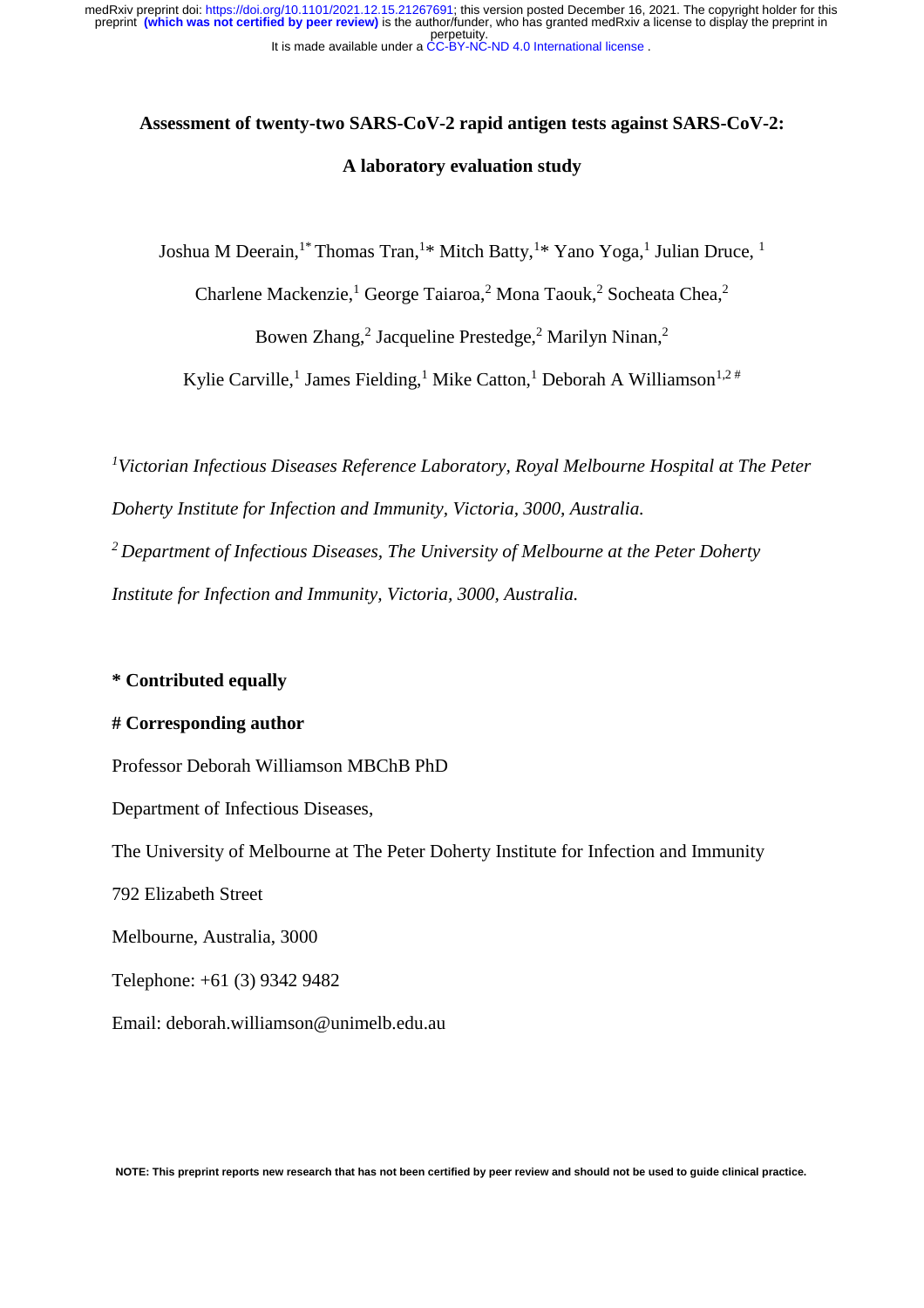# **Assessment of twenty-two SARS-CoV-2 rapid antigen tests against SARS-CoV-2: A laboratory evaluation study**

Joshua M Deerain,<sup>1\*</sup> Thomas Tran,<sup>1\*</sup> Mitch Batty,<sup>1\*</sup> Yano Yoga,<sup>1</sup> Julian Druce, <sup>1</sup>

Charlene Mackenzie,<sup>1</sup> George Taiaroa,<sup>2</sup> Mona Taouk,<sup>2</sup> Socheata Chea,<sup>2</sup>

Bowen Zhang,<sup>2</sup> Jacqueline Prestedge,<sup>2</sup> Marilyn Ninan,<sup>2</sup>

Kylie Carville,<sup>1</sup> James Fielding,<sup>1</sup> Mike Catton,<sup>1</sup> Deborah A Williamson<sup>1,2#</sup>

*<sup>1</sup>Victorian Infectious Diseases Reference Laboratory, Royal Melbourne Hospital at The Peter Doherty Institute for Infection and Immunity, Victoria, 3000, Australia.*

*<sup>2</sup>Department of Infectious Diseases, The University of Melbourne at the Peter Doherty Institute for Infection and Immunity, Victoria, 3000, Australia.*

# **\* Contributed equally**

# **# Corresponding author**

Professor Deborah Williamson MBChB PhD

Department of Infectious Diseases,

The University of Melbourne at The Peter Doherty Institute for Infection and Immunity

792 Elizabeth Street

Melbourne, Australia, 3000

Telephone: +61 (3) 9342 9482

Email: deborah.williamson@unimelb.edu.au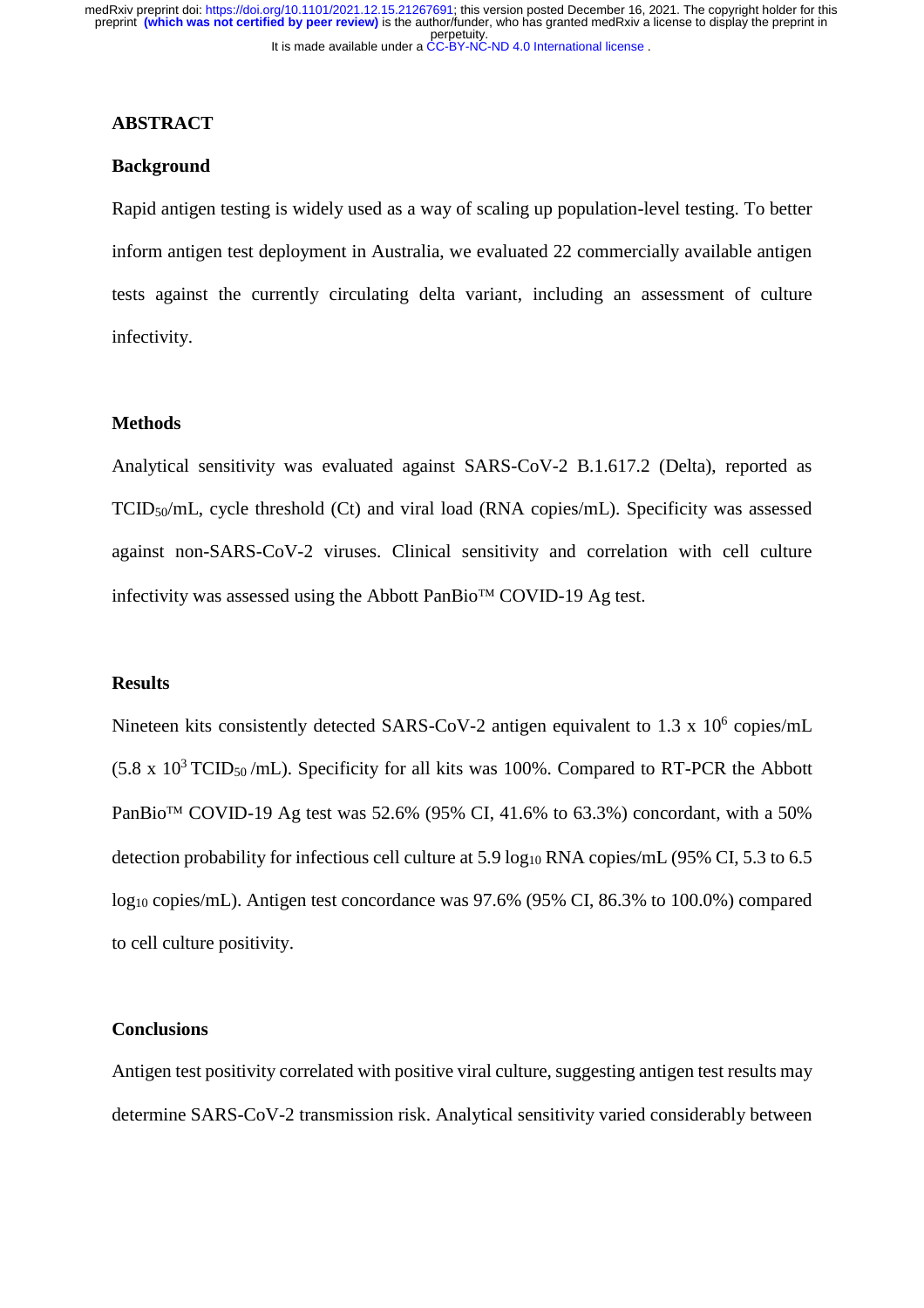## **ABSTRACT**

#### **Background**

Rapid antigen testing is widely used as a way of scaling up population-level testing. To better inform antigen test deployment in Australia, we evaluated 22 commercially available antigen tests against the currently circulating delta variant, including an assessment of culture infectivity.

## **Methods**

Analytical sensitivity was evaluated against SARS-CoV-2 B.1.617.2 (Delta), reported as TCID50/mL, cycle threshold (Ct) and viral load (RNA copies/mL). Specificity was assessed against non-SARS-CoV-2 viruses. Clinical sensitivity and correlation with cell culture infectivity was assessed using the Abbott PanBio<sup>TM</sup> COVID-19 Ag test.

#### **Results**

Nineteen kits consistently detected SARS-CoV-2 antigen equivalent to 1.3 x  $10^6$  copies/mL  $(5.8 \times 10^3 \text{ TCID}_{50}/\text{mL})$ . Specificity for all kits was 100%. Compared to RT-PCR the Abbott PanBio<sup>TM</sup> COVID-19 Ag test was 52.6% (95% CI, 41.6% to 63.3%) concordant, with a 50% detection probability for infectious cell culture at  $5.9 \log_{10} RNA$  copies/mL (95% CI,  $5.3$  to 6.5 log<sub>10</sub> copies/mL). Antigen test concordance was 97.6% (95% CI, 86.3% to 100.0%) compared to cell culture positivity.

# **Conclusions**

Antigen test positivity correlated with positive viral culture, suggesting antigen test results may determine SARS-CoV-2 transmission risk. Analytical sensitivity varied considerably between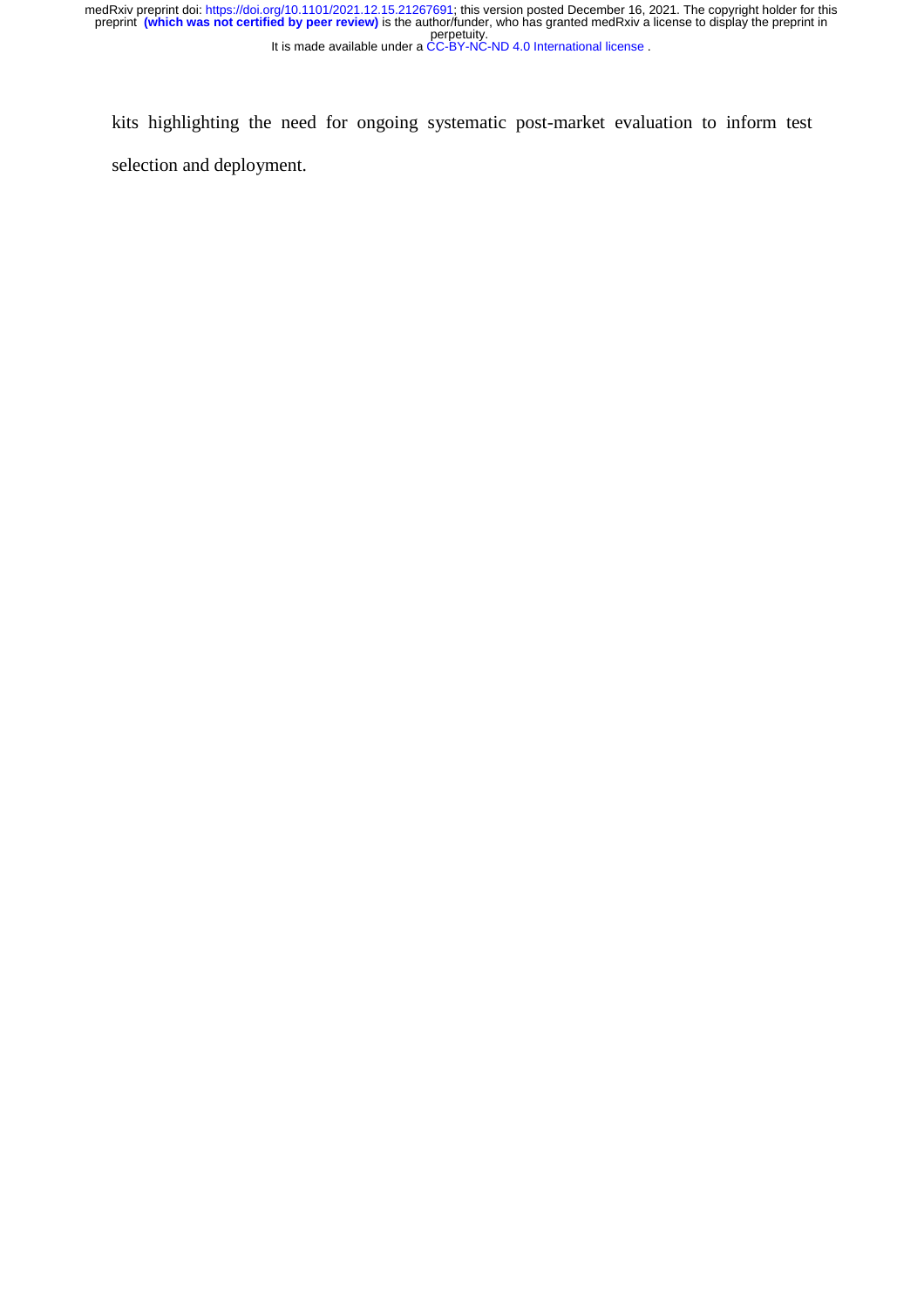perpetuity. medRxiv preprint doi: [https://doi.org/10.1101/2021.12.15.21267691;](https://doi.org/10.1101/2021.12.15.21267691) this version posted December 16, 2021. The copyright holder for this<br>preprint **(which was not certified by peer review)** is the author/funder, who has gran

It is made available under a [CC-BY-NC-ND 4.0 International license](http://creativecommons.org/licenses/by-nc-nd/4.0/) .

kits highlighting the need for ongoing systematic post-market evaluation to inform test selection and deployment.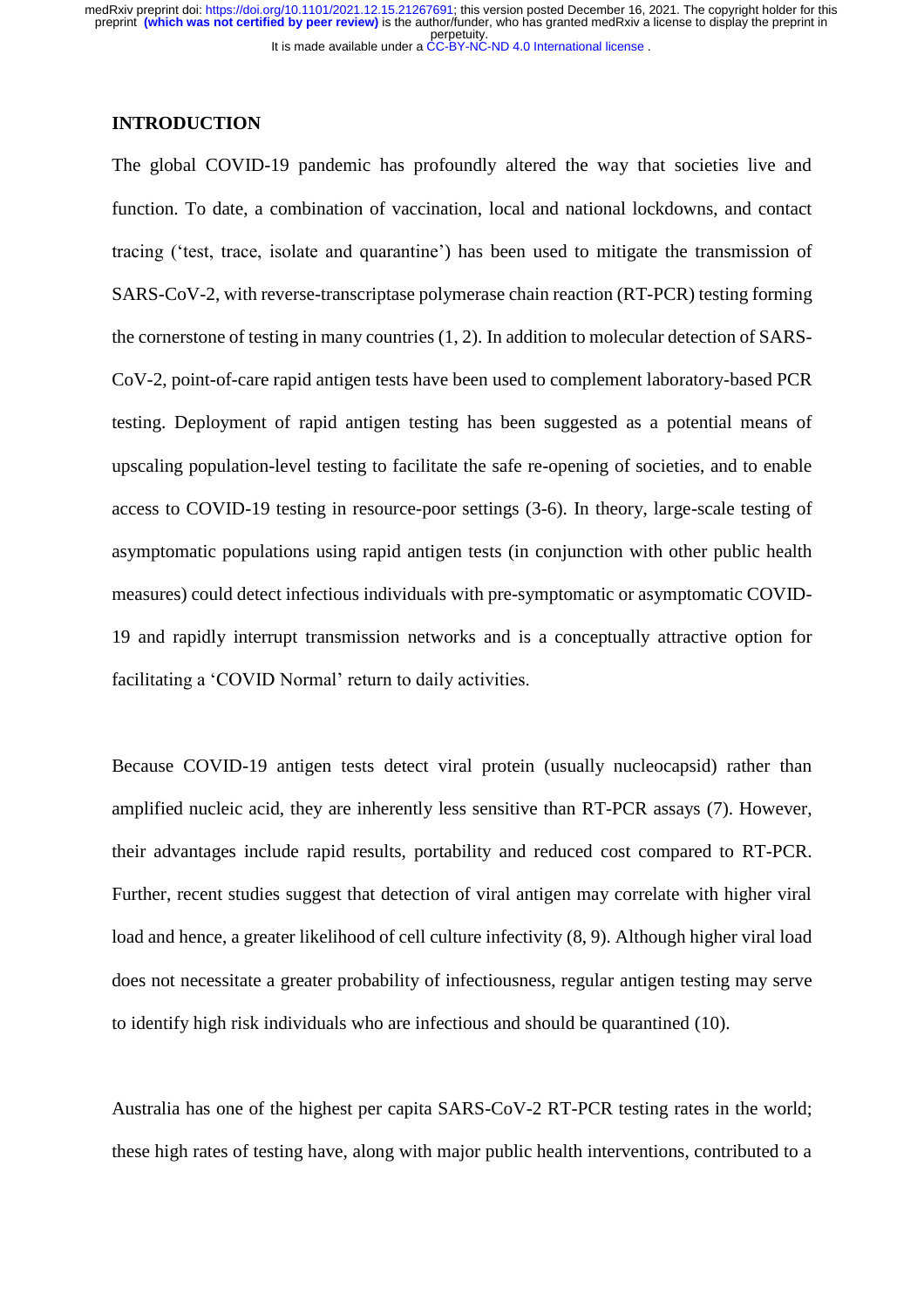## **INTRODUCTION**

The global COVID-19 pandemic has profoundly altered the way that societies live and function. To date, a combination of vaccination, local and national lockdowns, and contact tracing ('test, trace, isolate and quarantine') has been used to mitigate the transmission of SARS-CoV-2, with reverse-transcriptase polymerase chain reaction (RT-PCR) testing forming the cornerstone of testing in many countries (1, 2). In addition to molecular detection of SARS-CoV-2, point-of-care rapid antigen tests have been used to complement laboratory-based PCR testing. Deployment of rapid antigen testing has been suggested as a potential means of upscaling population-level testing to facilitate the safe re-opening of societies, and to enable access to COVID-19 testing in resource-poor settings (3-6). In theory, large-scale testing of asymptomatic populations using rapid antigen tests (in conjunction with other public health measures) could detect infectious individuals with pre-symptomatic or asymptomatic COVID-19 and rapidly interrupt transmission networks and is a conceptually attractive option for facilitating a 'COVID Normal' return to daily activities.

Because COVID-19 antigen tests detect viral protein (usually nucleocapsid) rather than amplified nucleic acid, they are inherently less sensitive than RT-PCR assays (7). However, their advantages include rapid results, portability and reduced cost compared to RT-PCR. Further, recent studies suggest that detection of viral antigen may correlate with higher viral load and hence, a greater likelihood of cell culture infectivity (8, 9). Although higher viral load does not necessitate a greater probability of infectiousness, regular antigen testing may serve to identify high risk individuals who are infectious and should be quarantined (10).

Australia has one of the highest per capita SARS-CoV-2 RT-PCR testing rates in the world; these high rates of testing have, along with major public health interventions, contributed to a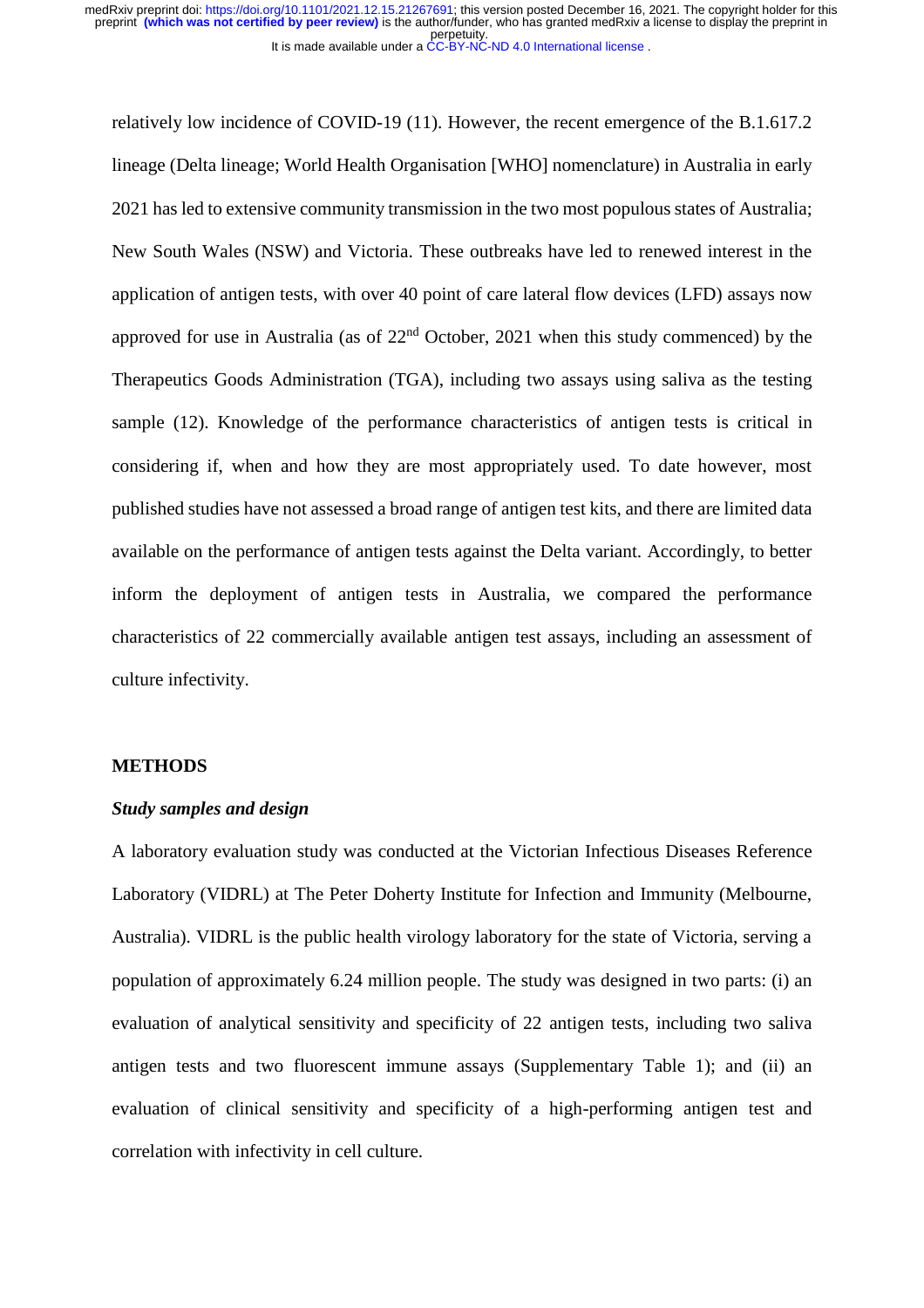relatively low incidence of COVID-19 (11). However, the recent emergence of the B.1.617.2 lineage (Delta lineage; World Health Organisation [WHO] nomenclature) in Australia in early 2021 has led to extensive community transmission in the two most populous states of Australia; New South Wales (NSW) and Victoria. These outbreaks have led to renewed interest in the application of antigen tests, with over 40 point of care lateral flow devices (LFD) assays now approved for use in Australia (as of  $22<sup>nd</sup>$  October, 2021 when this study commenced) by the Therapeutics Goods Administration (TGA), including two assays using saliva as the testing sample (12). Knowledge of the performance characteristics of antigen tests is critical in considering if, when and how they are most appropriately used. To date however, most published studies have not assessed a broad range of antigen test kits, and there are limited data available on the performance of antigen tests against the Delta variant. Accordingly, to better inform the deployment of antigen tests in Australia, we compared the performance characteristics of 22 commercially available antigen test assays, including an assessment of culture infectivity.

#### **METHODS**

## *Study samples and design*

A laboratory evaluation study was conducted at the Victorian Infectious Diseases Reference Laboratory (VIDRL) at The Peter Doherty Institute for Infection and Immunity (Melbourne, Australia). VIDRL is the public health virology laboratory for the state of Victoria, serving a population of approximately 6.24 million people. The study was designed in two parts: (i) an evaluation of analytical sensitivity and specificity of 22 antigen tests, including two saliva antigen tests and two fluorescent immune assays (Supplementary Table 1); and (ii) an evaluation of clinical sensitivity and specificity of a high-performing antigen test and correlation with infectivity in cell culture.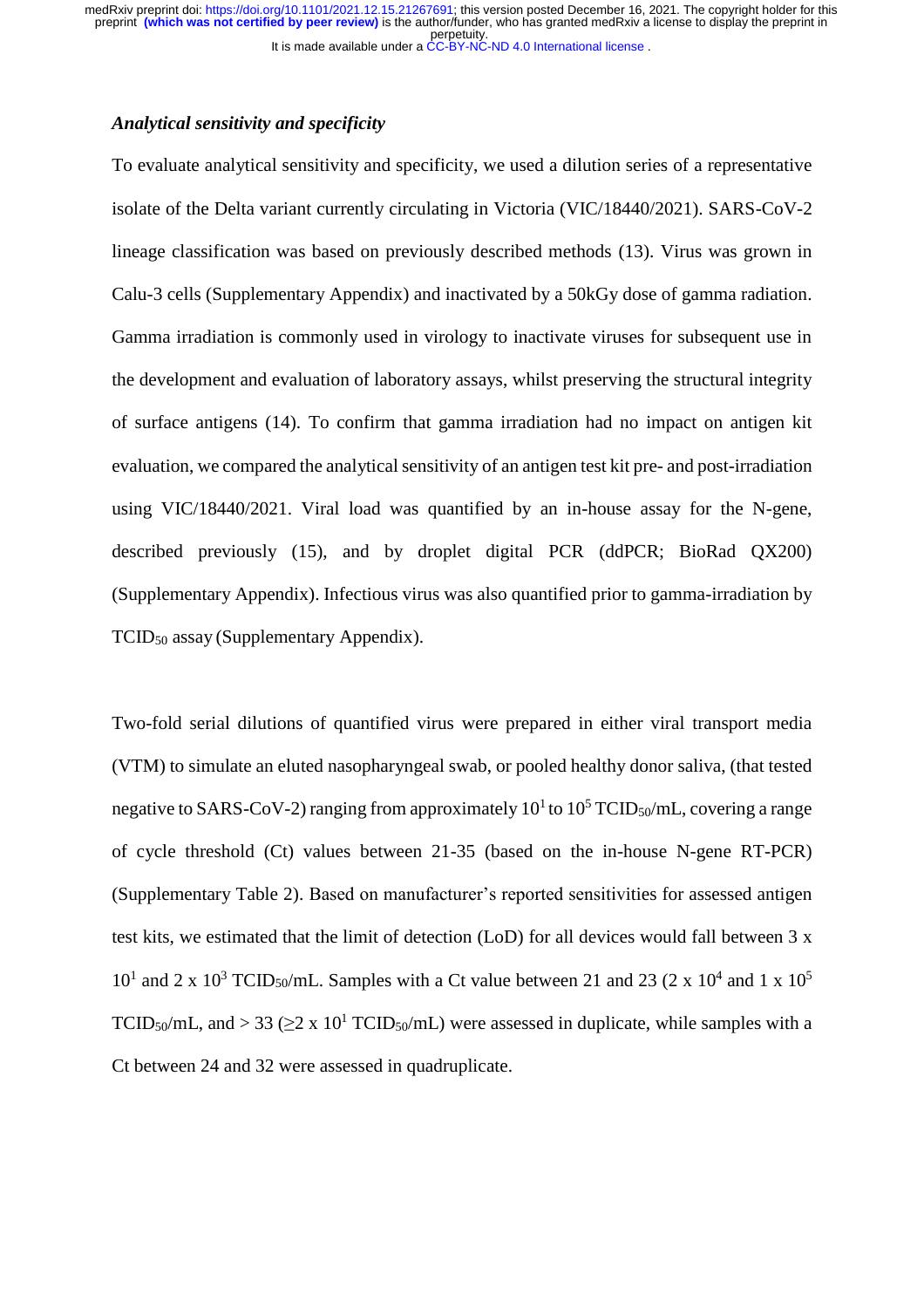## *Analytical sensitivity and specificity*

To evaluate analytical sensitivity and specificity, we used a dilution series of a representative isolate of the Delta variant currently circulating in Victoria (VIC/18440/2021). SARS-CoV-2 lineage classification was based on previously described methods (13). Virus was grown in Calu-3 cells (Supplementary Appendix) and inactivated by a 50kGy dose of gamma radiation. Gamma irradiation is commonly used in virology to inactivate viruses for subsequent use in the development and evaluation of laboratory assays, whilst preserving the structural integrity of surface antigens (14). To confirm that gamma irradiation had no impact on antigen kit evaluation, we compared the analytical sensitivity of an antigen test kit pre- and post-irradiation using VIC/18440/2021. Viral load was quantified by an in-house assay for the N-gene, described previously (15), and by droplet digital PCR (ddPCR; BioRad QX200) (Supplementary Appendix). Infectious virus was also quantified prior to gamma-irradiation by TCID<sup>50</sup> assay (Supplementary Appendix).

Two-fold serial dilutions of quantified virus were prepared in either viral transport media (VTM) to simulate an eluted nasopharyngeal swab, or pooled healthy donor saliva, (that tested negative to SARS-CoV-2) ranging from approximately  $10^1$  to  $10^5$  TCID<sub>50</sub>/mL, covering a range of cycle threshold (Ct) values between 21-35 (based on the in-house N-gene RT-PCR) (Supplementary Table 2). Based on manufacturer's reported sensitivities for assessed antigen test kits, we estimated that the limit of detection (LoD) for all devices would fall between 3 x  $10<sup>1</sup>$  and 2 x  $10<sup>3</sup>$  TCID<sub>50</sub>/mL. Samples with a Ct value between 21 and 23 (2 x 10<sup>4</sup> and 1 x 10<sup>5</sup> TCID<sub>50</sub>/mL, and > 33 ( $\geq$ 2 x 10<sup>1</sup> TCID<sub>50</sub>/mL) were assessed in duplicate, while samples with a Ct between 24 and 32 were assessed in quadruplicate.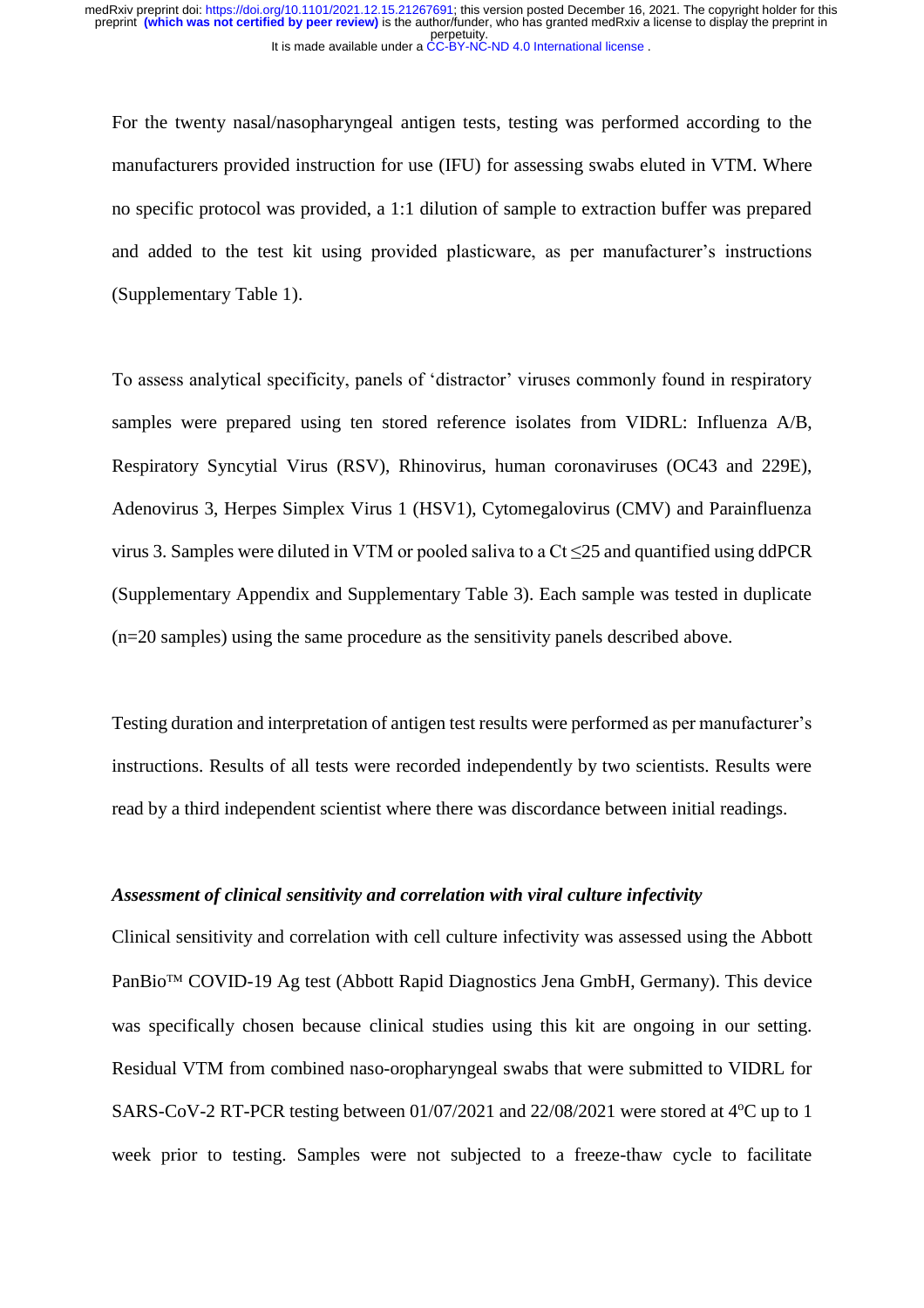For the twenty nasal/nasopharyngeal antigen tests, testing was performed according to the manufacturers provided instruction for use (IFU) for assessing swabs eluted in VTM. Where no specific protocol was provided, a 1:1 dilution of sample to extraction buffer was prepared and added to the test kit using provided plasticware, as per manufacturer's instructions (Supplementary Table 1).

To assess analytical specificity, panels of 'distractor' viruses commonly found in respiratory samples were prepared using ten stored reference isolates from VIDRL: Influenza A/B, Respiratory Syncytial Virus (RSV), Rhinovirus, human coronaviruses (OC43 and 229E), Adenovirus 3, Herpes Simplex Virus 1 (HSV1), Cytomegalovirus (CMV) and Parainfluenza virus 3. Samples were diluted in VTM or pooled saliva to a  $Ct \le 25$  and quantified using ddPCR (Supplementary Appendix and Supplementary Table 3). Each sample was tested in duplicate (n=20 samples) using the same procedure as the sensitivity panels described above.

Testing duration and interpretation of antigen test results were performed as per manufacturer's instructions. Results of all tests were recorded independently by two scientists. Results were read by a third independent scientist where there was discordance between initial readings.

# *Assessment of clinical sensitivity and correlation with viral culture infectivity*

Clinical sensitivity and correlation with cell culture infectivity was assessed using the Abbott PanBio<sup>™</sup> COVID-19 Ag test (Abbott Rapid Diagnostics Jena GmbH, Germany). This device was specifically chosen because clinical studies using this kit are ongoing in our setting. Residual VTM from combined naso-oropharyngeal swabs that were submitted to VIDRL for SARS-CoV-2 RT-PCR testing between  $01/07/2021$  and  $22/08/2021$  were stored at  $4^{\circ}$ C up to 1 week prior to testing. Samples were not subjected to a freeze-thaw cycle to facilitate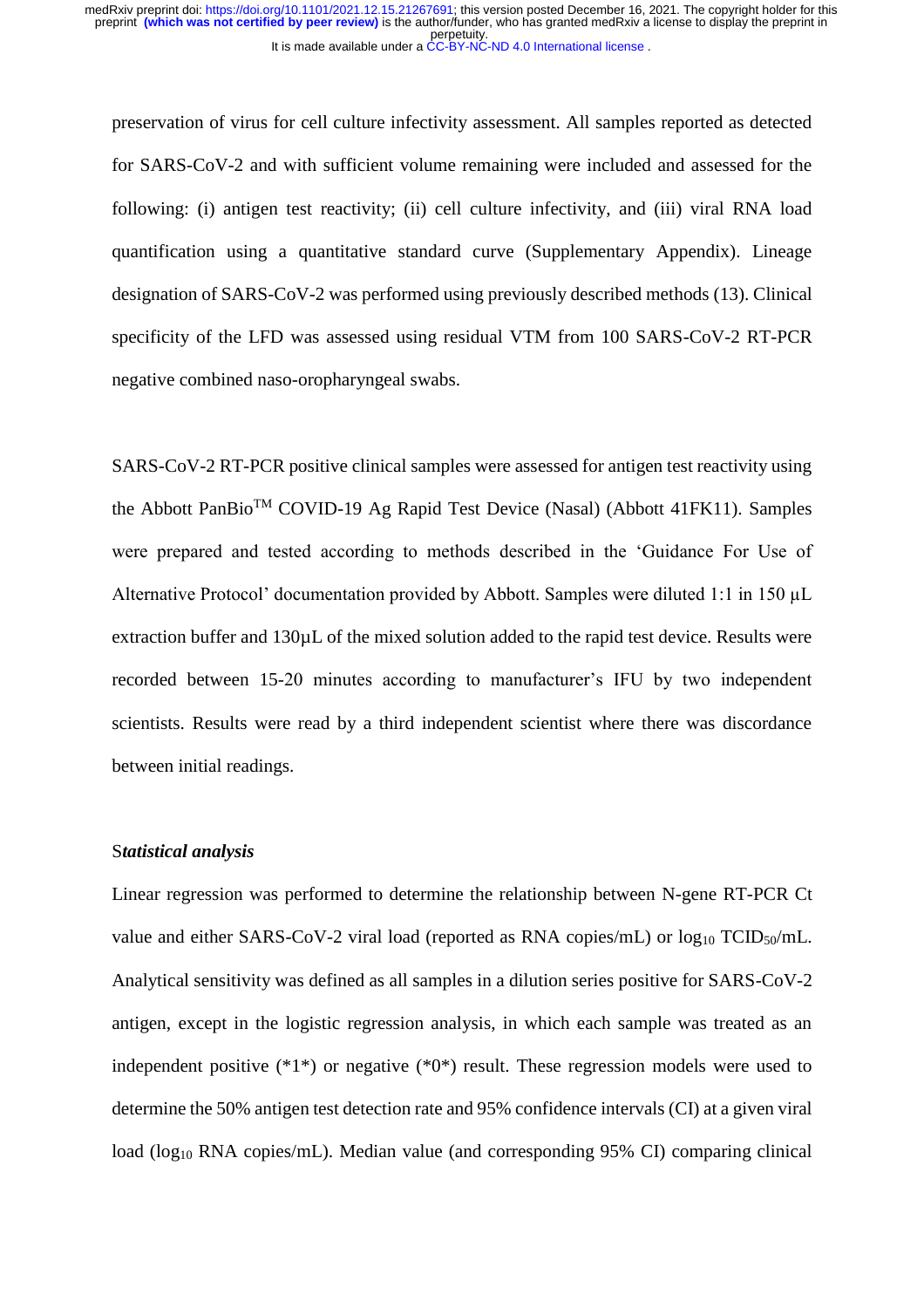preservation of virus for cell culture infectivity assessment. All samples reported as detected for SARS-CoV-2 and with sufficient volume remaining were included and assessed for the following: (i) antigen test reactivity; (ii) cell culture infectivity, and (iii) viral RNA load quantification using a quantitative standard curve (Supplementary Appendix). Lineage designation of SARS-CoV-2 was performed using previously described methods (13). Clinical specificity of the LFD was assessed using residual VTM from 100 SARS-CoV-2 RT-PCR negative combined naso-oropharyngeal swabs.

SARS-CoV-2 RT-PCR positive clinical samples were assessed for antigen test reactivity using the Abbott PanBioTM COVID-19 Ag Rapid Test Device (Nasal) (Abbott 41FK11). Samples were prepared and tested according to methods described in the 'Guidance For Use of Alternative Protocol' documentation provided by Abbott. Samples were diluted 1:1 in 150 µL extraction buffer and 130µL of the mixed solution added to the rapid test device. Results were recorded between 15-20 minutes according to manufacturer's IFU by two independent scientists. Results were read by a third independent scientist where there was discordance between initial readings.

#### S*tatistical analysis*

Linear regression was performed to determine the relationship between N-gene RT-PCR Ct value and either SARS-CoV-2 viral load (reported as RNA copies/mL) or  $log_{10} TCID_{50}/mL$ . Analytical sensitivity was defined as all samples in a dilution series positive for SARS-CoV-2 antigen, except in the logistic regression analysis, in which each sample was treated as an independent positive (\*1\*) or negative (\*0\*) result. These regression models were used to determine the 50% antigen test detection rate and 95% confidence intervals (CI) at a given viral load (log<sub>10</sub> RNA copies/mL). Median value (and corresponding 95% CI) comparing clinical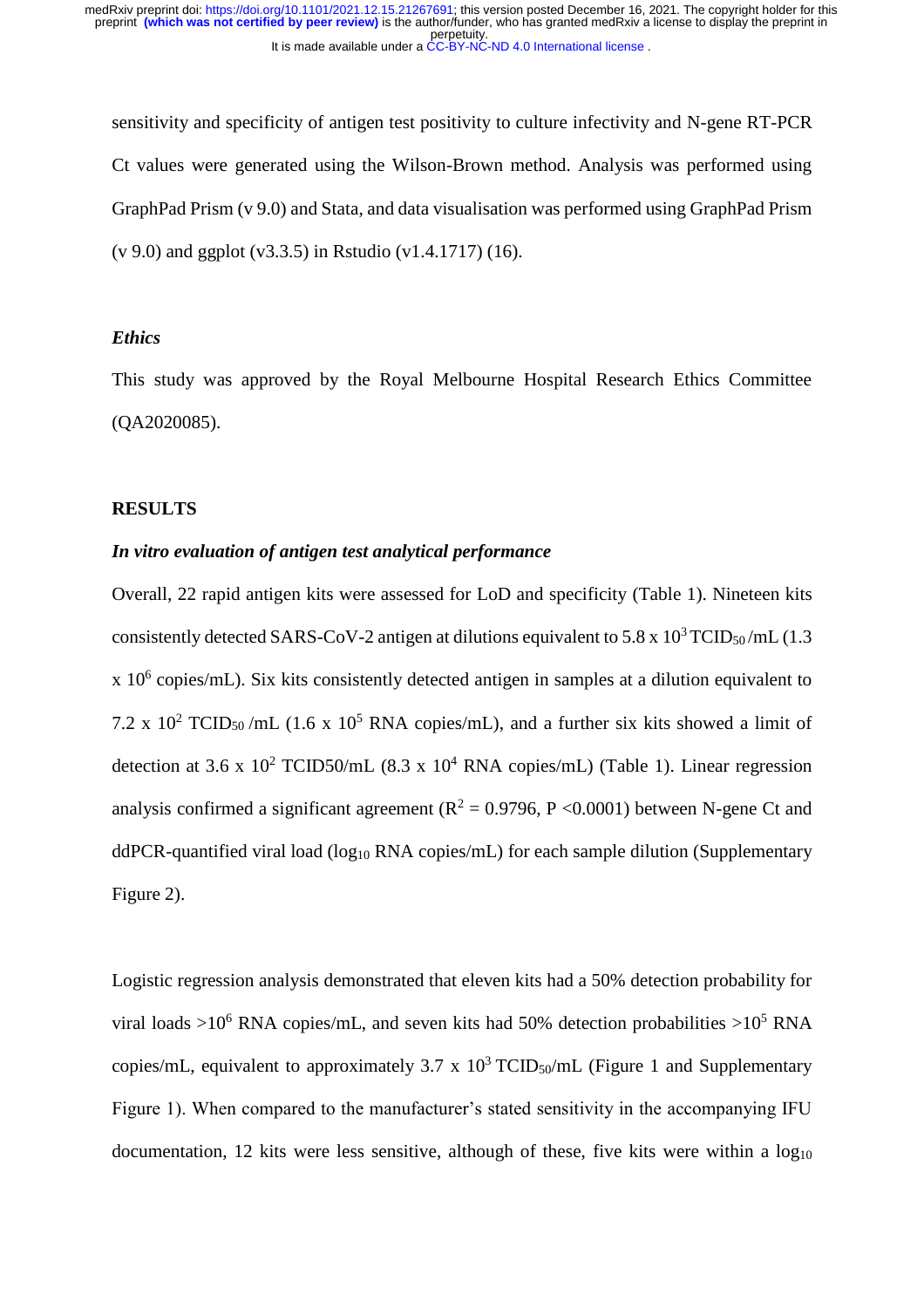sensitivity and specificity of antigen test positivity to culture infectivity and N-gene RT-PCR Ct values were generated using the Wilson-Brown method. Analysis was performed using GraphPad Prism (v 9.0) and Stata, and data visualisation was performed using GraphPad Prism (v 9.0) and ggplot (v3.3.5) in Rstudio (v1.4.1717) (16).

# *Ethics*

This study was approved by the Royal Melbourne Hospital Research Ethics Committee (QA2020085).

#### **RESULTS**

# *In vitro evaluation of antigen test analytical performance*

Overall, 22 rapid antigen kits were assessed for LoD and specificity (Table 1). Nineteen kits consistently detected SARS-CoV-2 antigen at dilutions equivalent to 5.8 x  $10^3$  TCID<sub>50</sub>/mL (1.3)  $x$  10<sup>6</sup> copies/mL). Six kits consistently detected antigen in samples at a dilution equivalent to 7.2 x 10<sup>2</sup> TCID<sub>50</sub>/mL (1.6 x 10<sup>5</sup> RNA copies/mL), and a further six kits showed a limit of detection at 3.6 x 10<sup>2</sup> TCID50/mL (8.3 x 10<sup>4</sup> RNA copies/mL) (Table 1). Linear regression analysis confirmed a significant agreement ( $R^2 = 0.9796$ , P <0.0001) between N-gene Ct and ddPCR-quantified viral load (log<sub>10</sub> RNA copies/mL) for each sample dilution (Supplementary Figure 2).

Logistic regression analysis demonstrated that eleven kits had a 50% detection probability for viral loads  $>10^6$  RNA copies/mL, and seven kits had 50% detection probabilities  $>10^5$  RNA copies/mL, equivalent to approximately 3.7 x  $10^3$  TCID<sub>50</sub>/mL (Figure 1 and Supplementary Figure 1). When compared to the manufacturer's stated sensitivity in the accompanying IFU documentation, 12 kits were less sensitive, although of these, five kits were within a  $log_{10}$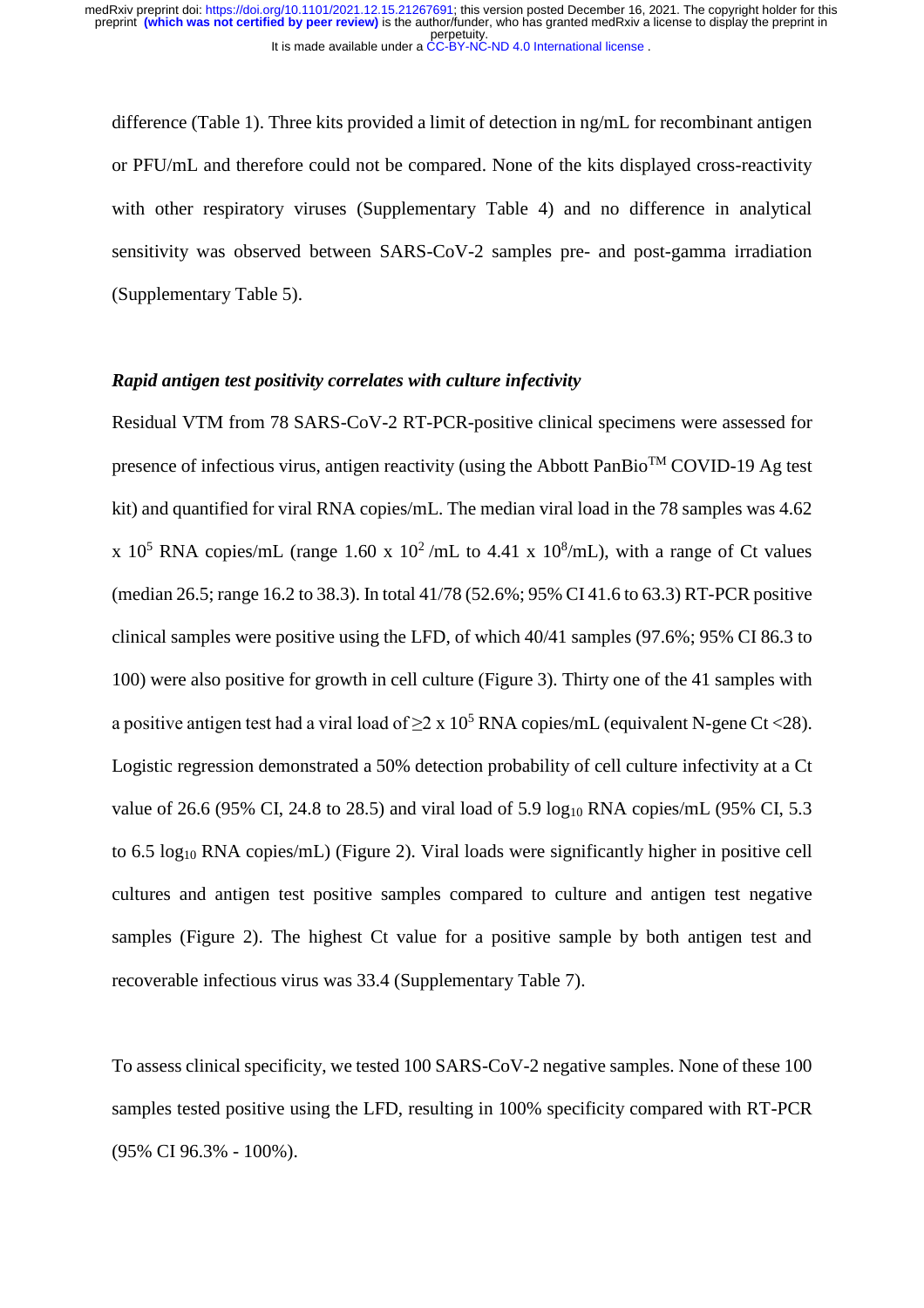difference (Table 1). Three kits provided a limit of detection in ng/mL for recombinant antigen or PFU/mL and therefore could not be compared. None of the kits displayed cross-reactivity with other respiratory viruses (Supplementary Table 4) and no difference in analytical sensitivity was observed between SARS-CoV-2 samples pre- and post-gamma irradiation (Supplementary Table 5).

#### *Rapid antigen test positivity correlates with culture infectivity*

Residual VTM from 78 SARS-CoV-2 RT-PCR-positive clinical specimens were assessed for presence of infectious virus, antigen reactivity (using the Abbott PanBio<sup>TM</sup> COVID-19 Ag test kit) and quantified for viral RNA copies/mL. The median viral load in the 78 samples was 4.62 x 10<sup>5</sup> RNA copies/mL (range 1.60 x 10<sup>2</sup>/mL to 4.41 x 10<sup>8</sup>/mL), with a range of Ct values (median 26.5; range 16.2 to 38.3). In total 41/78 (52.6%; 95% CI 41.6 to 63.3) RT-PCR positive clinical samples were positive using the LFD, of which 40/41 samples (97.6%; 95% CI 86.3 to 100) were also positive for growth in cell culture (Figure 3). Thirty one of the 41 samples with a positive antigen test had a viral load of  $\geq 2 \times 10^5$  RNA copies/mL (equivalent N-gene Ct <28). Logistic regression demonstrated a 50% detection probability of cell culture infectivity at a Ct value of 26.6 (95% CI, 24.8 to 28.5) and viral load of 5.9  $log_{10}$  RNA copies/mL (95% CI, 5.3 to 6.5 log<sup>10</sup> RNA copies/mL) (Figure 2). Viral loads were significantly higher in positive cell cultures and antigen test positive samples compared to culture and antigen test negative samples (Figure 2). The highest Ct value for a positive sample by both antigen test and recoverable infectious virus was 33.4 (Supplementary Table 7).

To assess clinical specificity, we tested 100 SARS-CoV-2 negative samples. None of these 100 samples tested positive using the LFD, resulting in 100% specificity compared with RT-PCR (95% CI 96.3% - 100%).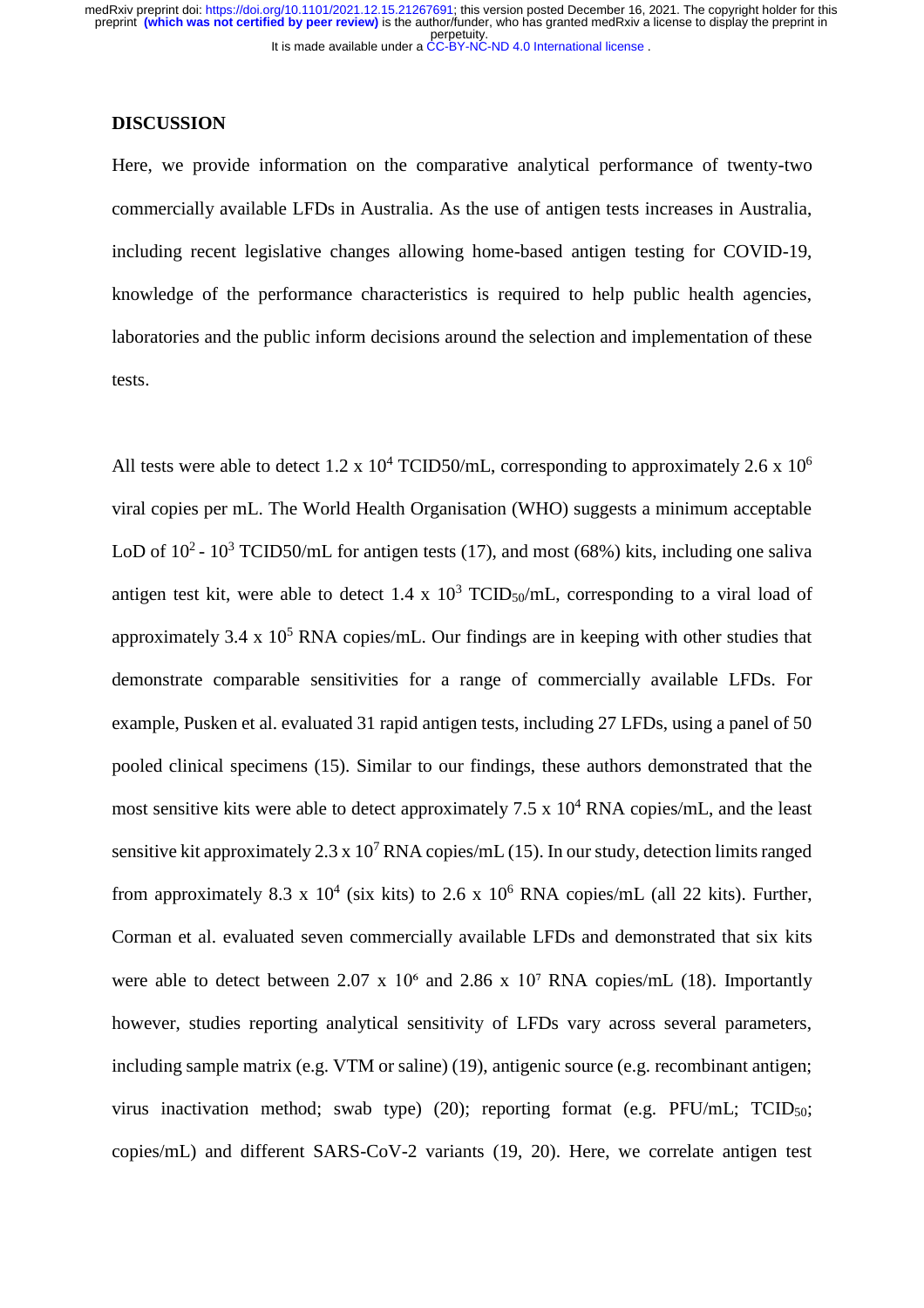#### **DISCUSSION**

Here, we provide information on the comparative analytical performance of twenty-two commercially available LFDs in Australia. As the use of antigen tests increases in Australia, including recent legislative changes allowing home-based antigen testing for COVID-19, knowledge of the performance characteristics is required to help public health agencies, laboratories and the public inform decisions around the selection and implementation of these tests.

All tests were able to detect 1.2 x  $10^4$  TCID50/mL, corresponding to approximately 2.6 x  $10^6$ viral copies per mL. The World Health Organisation (WHO) suggests a minimum acceptable LoD of  $10^2$  -  $10^3$  TCID50/mL for antigen tests (17), and most (68%) kits, including one saliva antigen test kit, were able to detect 1.4 x  $10^3$  TCID<sub>50</sub>/mL, corresponding to a viral load of approximately 3.4 x  $10^5$  RNA copies/mL. Our findings are in keeping with other studies that demonstrate comparable sensitivities for a range of commercially available LFDs. For example, Pusken et al. evaluated 31 rapid antigen tests, including 27 LFDs, using a panel of 50 pooled clinical specimens (15). Similar to our findings, these authors demonstrated that the most sensitive kits were able to detect approximately  $7.5 \times 10^4$  RNA copies/mL, and the least sensitive kit approximately 2.3 x  $10^7$  RNA copies/mL (15). In our study, detection limits ranged from approximately 8.3 x  $10^4$  (six kits) to 2.6 x  $10^6$  RNA copies/mL (all 22 kits). Further, Corman et al. evaluated seven commercially available LFDs and demonstrated that six kits were able to detect between 2.07 x  $10<sup>6</sup>$  and 2.86 x  $10<sup>7</sup>$  RNA copies/mL (18). Importantly however, studies reporting analytical sensitivity of LFDs vary across several parameters, including sample matrix (e.g. VTM or saline) (19), antigenic source (e.g. recombinant antigen; virus inactivation method; swab type) (20); reporting format (e.g. PFU/mL; TCID50; copies/mL) and different SARS-CoV-2 variants (19, 20). Here, we correlate antigen test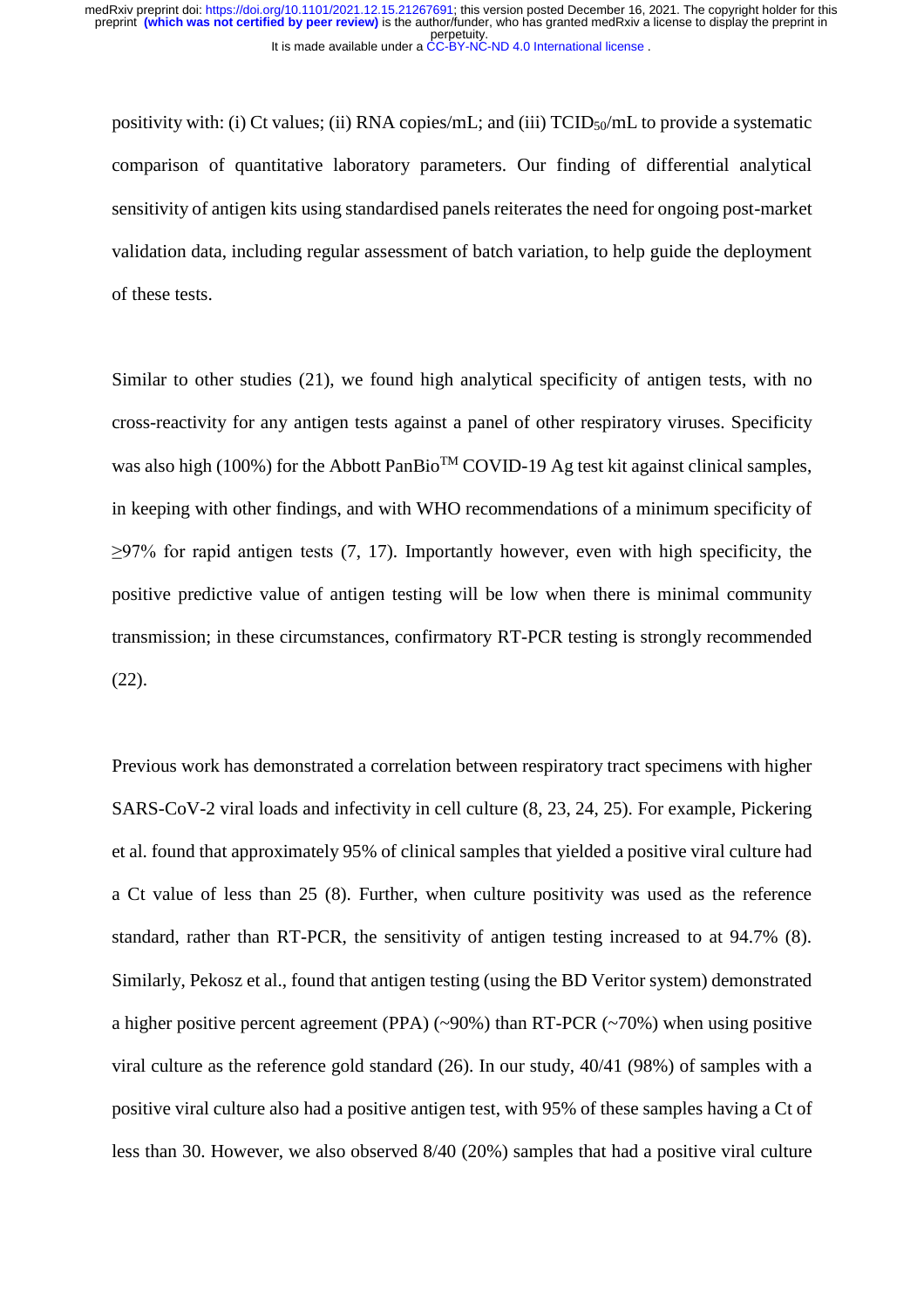positivity with: (i) Ct values; (ii) RNA copies/mL; and (iii)  $TCID_{50}/mL$  to provide a systematic comparison of quantitative laboratory parameters. Our finding of differential analytical sensitivity of antigen kits using standardised panels reiterates the need for ongoing post-market validation data, including regular assessment of batch variation, to help guide the deployment of these tests.

Similar to other studies (21), we found high analytical specificity of antigen tests, with no cross-reactivity for any antigen tests against a panel of other respiratory viruses. Specificity was also high (100%) for the Abbott PanBio<sup>TM</sup> COVID-19 Ag test kit against clinical samples, in keeping with other findings, and with WHO recommendations of a minimum specificity of  $\geq$ 97% for rapid antigen tests (7, 17). Importantly however, even with high specificity, the positive predictive value of antigen testing will be low when there is minimal community transmission; in these circumstances, confirmatory RT-PCR testing is strongly recommended (22).

Previous work has demonstrated a correlation between respiratory tract specimens with higher SARS-CoV-2 viral loads and infectivity in cell culture (8, 23, 24, 25). For example, Pickering et al. found that approximately 95% of clinical samples that yielded a positive viral culture had a Ct value of less than 25 (8). Further, when culture positivity was used as the reference standard, rather than RT-PCR, the sensitivity of antigen testing increased to at 94.7% (8). Similarly, Pekosz et al., found that antigen testing (using the BD Veritor system) demonstrated a higher positive percent agreement (PPA) (~90%) than RT-PCR (~70%) when using positive viral culture as the reference gold standard (26). In our study, 40/41 (98%) of samples with a positive viral culture also had a positive antigen test, with 95% of these samples having a Ct of less than 30. However, we also observed 8/40 (20%) samples that had a positive viral culture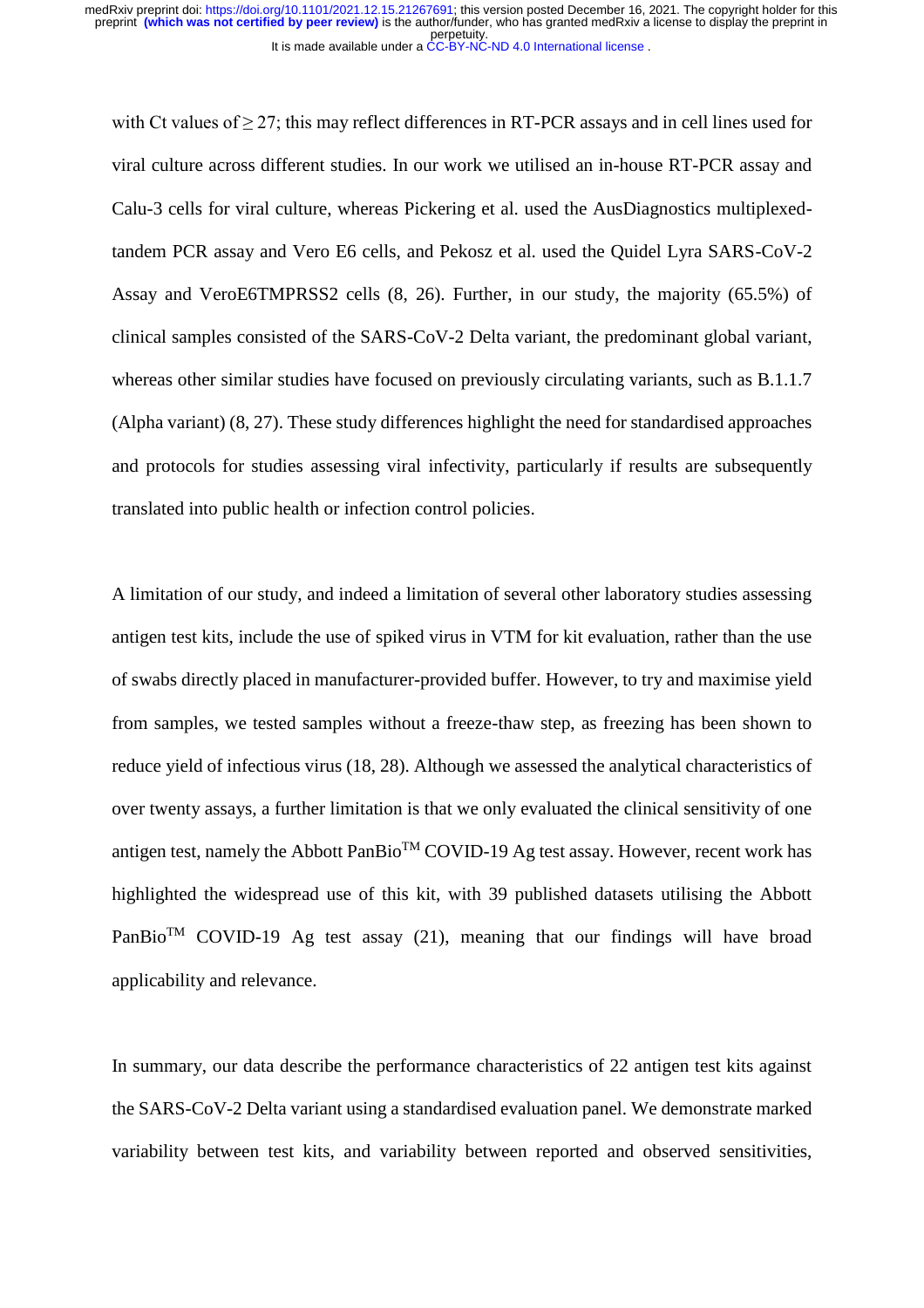It is made available under a [CC-BY-NC-ND 4.0 International license](http://creativecommons.org/licenses/by-nc-nd/4.0/) . perpetuity. medRxiv preprint doi: [https://doi.org/10.1101/2021.12.15.21267691;](https://doi.org/10.1101/2021.12.15.21267691) this version posted December 16, 2021. The copyright holder for this<br>preprint **(which was not certified by peer review)** is the author/funder, who has gran

with Ct values of  $\geq$  27; this may reflect differences in RT-PCR assays and in cell lines used for viral culture across different studies. In our work we utilised an in-house RT-PCR assay and Calu-3 cells for viral culture, whereas Pickering et al. used the AusDiagnostics multiplexedtandem PCR assay and Vero E6 cells, and Pekosz et al. used the Quidel Lyra SARS-CoV-2 Assay and VeroE6TMPRSS2 cells (8, 26). Further, in our study, the majority (65.5%) of clinical samples consisted of the SARS-CoV-2 Delta variant, the predominant global variant, whereas other similar studies have focused on previously circulating variants, such as B.1.1.7 (Alpha variant) (8, 27). These study differences highlight the need for standardised approaches and protocols for studies assessing viral infectivity, particularly if results are subsequently translated into public health or infection control policies.

A limitation of our study, and indeed a limitation of several other laboratory studies assessing antigen test kits, include the use of spiked virus in VTM for kit evaluation, rather than the use of swabs directly placed in manufacturer-provided buffer. However, to try and maximise yield from samples, we tested samples without a freeze-thaw step, as freezing has been shown to reduce yield of infectious virus (18, 28). Although we assessed the analytical characteristics of over twenty assays, a further limitation is that we only evaluated the clinical sensitivity of one antigen test, namely the Abbott PanBio<sup>TM</sup> COVID-19 Ag test assay. However, recent work has highlighted the widespread use of this kit, with 39 published datasets utilising the Abbott PanBio<sup>TM</sup> COVID-19 Ag test assay (21), meaning that our findings will have broad applicability and relevance.

In summary, our data describe the performance characteristics of 22 antigen test kits against the SARS-CoV-2 Delta variant using a standardised evaluation panel. We demonstrate marked variability between test kits, and variability between reported and observed sensitivities,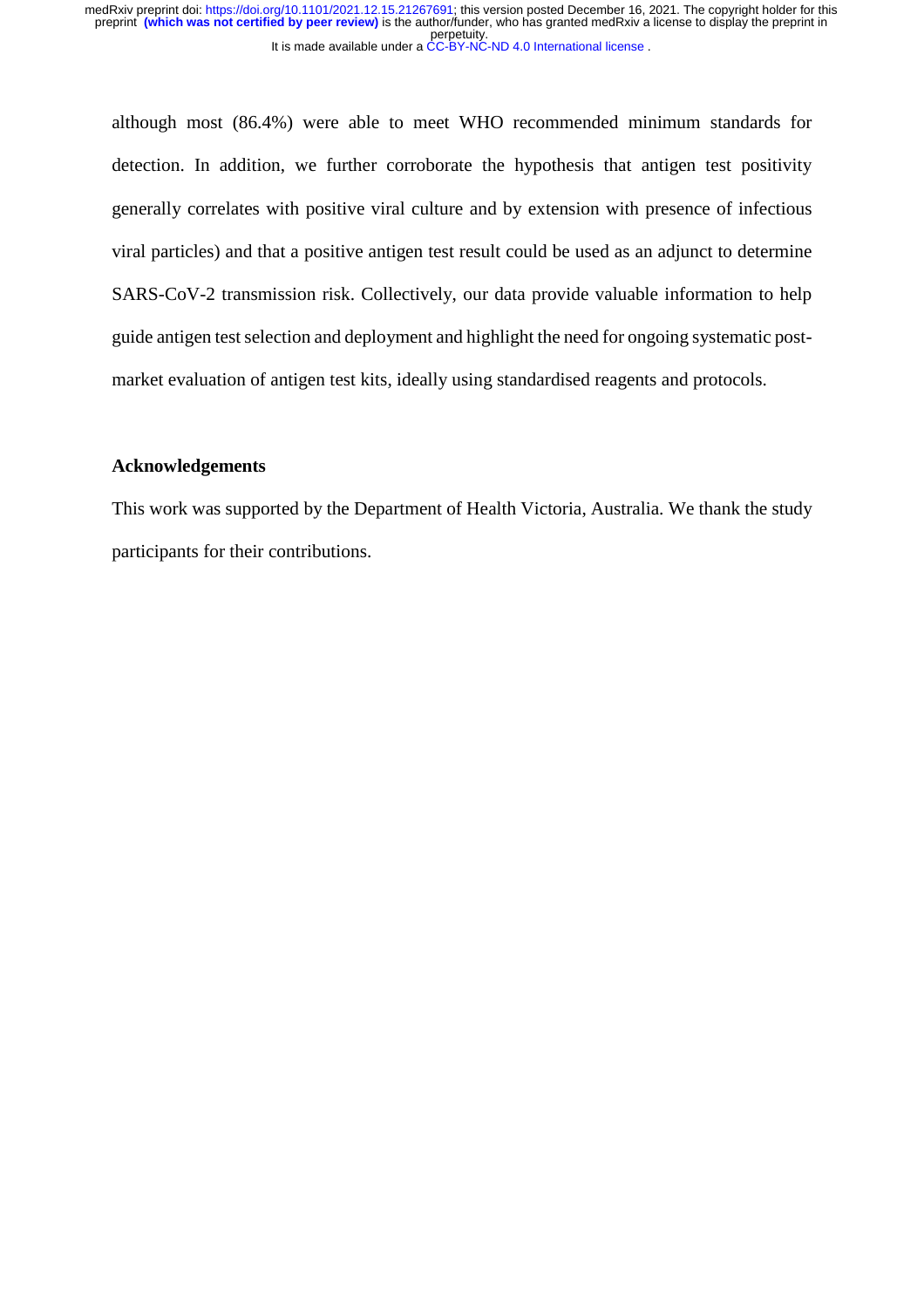although most (86.4%) were able to meet WHO recommended minimum standards for detection. In addition, we further corroborate the hypothesis that antigen test positivity generally correlates with positive viral culture and by extension with presence of infectious viral particles) and that a positive antigen test result could be used as an adjunct to determine SARS-CoV-2 transmission risk. Collectively, our data provide valuable information to help guide antigen test selection and deployment and highlight the need for ongoing systematic postmarket evaluation of antigen test kits, ideally using standardised reagents and protocols.

#### **Acknowledgements**

This work was supported by the Department of Health Victoria, Australia. We thank the study participants for their contributions.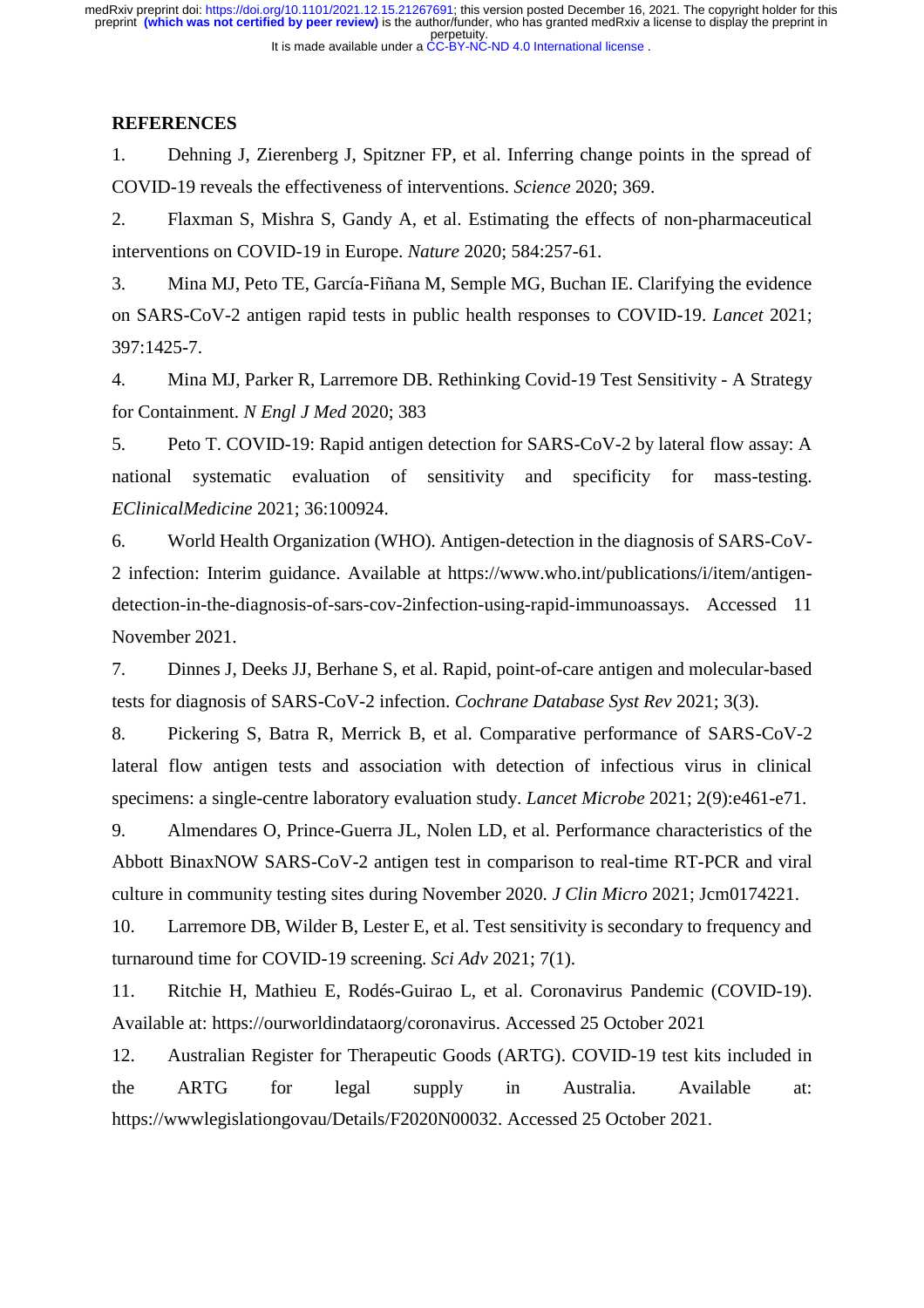## **REFERENCES**

1. Dehning J, Zierenberg J, Spitzner FP, et al. Inferring change points in the spread of COVID-19 reveals the effectiveness of interventions. *Science* 2020; 369.

2. Flaxman S, Mishra S, Gandy A, et al. Estimating the effects of non-pharmaceutical interventions on COVID-19 in Europe. *Nature* 2020; 584:257-61.

3. Mina MJ, Peto TE, García-Fiñana M, Semple MG, Buchan IE. Clarifying the evidence on SARS-CoV-2 antigen rapid tests in public health responses to COVID-19. *Lancet* 2021; 397:1425-7.

4. Mina MJ, Parker R, Larremore DB. Rethinking Covid-19 Test Sensitivity - A Strategy for Containment. *N Engl J Med* 2020; 383

5. Peto T. COVID-19: Rapid antigen detection for SARS-CoV-2 by lateral flow assay: A national systematic evaluation of sensitivity and specificity for mass-testing. *EClinicalMedicine* 2021; 36:100924.

6. World Health Organization (WHO). Antigen-detection in the diagnosis of SARS-CoV-2 infection: Interim guidance. Available at https://www.who.int/publications/i/item/antigendetection-in-the-diagnosis-of-sars-cov-2infection-using-rapid-immunoassays. Accessed 11 November 2021.

7. Dinnes J, Deeks JJ, Berhane S, et al. Rapid, point-of-care antigen and molecular-based tests for diagnosis of SARS-CoV-2 infection. *Cochrane Database Syst Rev* 2021; 3(3).

8. Pickering S, Batra R, Merrick B, et al. Comparative performance of SARS-CoV-2 lateral flow antigen tests and association with detection of infectious virus in clinical specimens: a single-centre laboratory evaluation study. *Lancet Microbe* 2021; 2(9):e461-e71.

9. Almendares O, Prince-Guerra JL, Nolen LD, et al. Performance characteristics of the Abbott BinaxNOW SARS-CoV-2 antigen test in comparison to real-time RT-PCR and viral culture in community testing sites during November 2020. *J Clin Micro* 2021; Jcm0174221.

10. Larremore DB, Wilder B, Lester E, et al. Test sensitivity is secondary to frequency and turnaround time for COVID-19 screening. *Sci Adv* 2021; 7(1).

11. Ritchie H, Mathieu E, Rodés-Guirao L, et al. Coronavirus Pandemic (COVID-19). Available at: https://ourworldindataorg/coronavirus. Accessed 25 October 2021

12. Australian Register for Therapeutic Goods (ARTG). COVID-19 test kits included in the ARTG for legal supply in Australia. Available at: https://wwwlegislationgovau/Details/F2020N00032. Accessed 25 October 2021.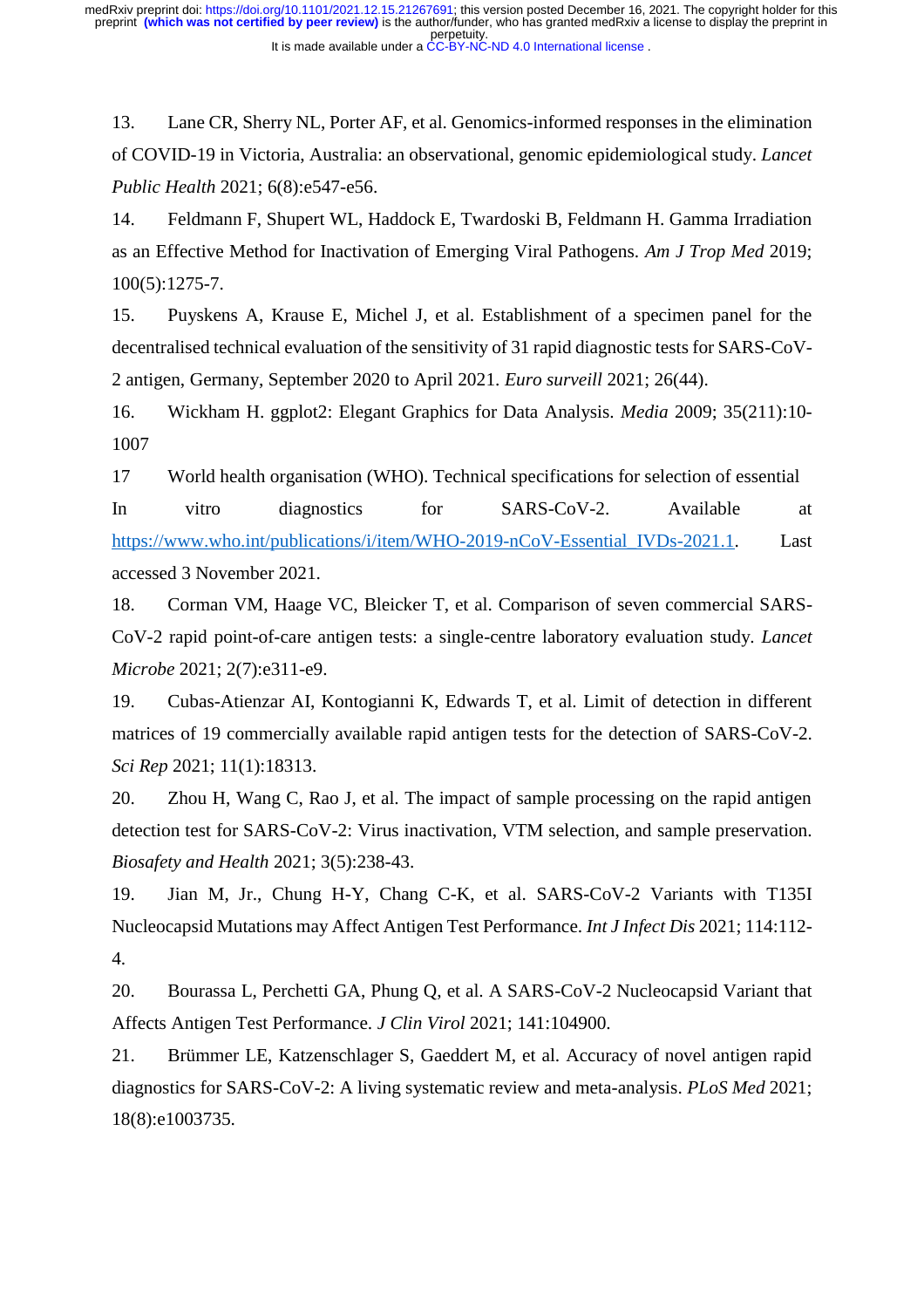13. Lane CR, Sherry NL, Porter AF, et al. Genomics-informed responses in the elimination of COVID-19 in Victoria, Australia: an observational, genomic epidemiological study. *Lancet Public Health* 2021; 6(8):e547-e56.

14. Feldmann F, Shupert WL, Haddock E, Twardoski B, Feldmann H. Gamma Irradiation as an Effective Method for Inactivation of Emerging Viral Pathogens. *Am J Trop Med* 2019; 100(5):1275-7.

15. Puyskens A, Krause E, Michel J, et al. Establishment of a specimen panel for the decentralised technical evaluation of the sensitivity of 31 rapid diagnostic tests for SARS-CoV-2 antigen, Germany, September 2020 to April 2021. *Euro surveill* 2021; 26(44).

16. Wickham H. ggplot2: Elegant Graphics for Data Analysis. *Media* 2009; 35(211):10- 1007

17 World health organisation (WHO). Technical specifications for selection of essential In vitro diagnostics for SARS-CoV-2. Available at https://www.who.int/publications/i/item/WHO-2019-nCoV-Essential IVDs-2021.1. Last accessed 3 November 2021.

18. Corman VM, Haage VC, Bleicker T, et al. Comparison of seven commercial SARS-CoV-2 rapid point-of-care antigen tests: a single-centre laboratory evaluation study. *Lancet Microbe* 2021; 2(7):e311-e9.

19. Cubas-Atienzar AI, Kontogianni K, Edwards T, et al. Limit of detection in different matrices of 19 commercially available rapid antigen tests for the detection of SARS-CoV-2. *Sci Rep* 2021; 11(1):18313.

20. Zhou H, Wang C, Rao J, et al. The impact of sample processing on the rapid antigen detection test for SARS-CoV-2: Virus inactivation, VTM selection, and sample preservation. *Biosafety and Health* 2021; 3(5):238-43.

19. Jian M, Jr., Chung H-Y, Chang C-K, et al. SARS-CoV-2 Variants with T135I Nucleocapsid Mutations may Affect Antigen Test Performance. *Int J Infect Dis* 2021; 114:112- 4.

20. Bourassa L, Perchetti GA, Phung Q, et al. A SARS-CoV-2 Nucleocapsid Variant that Affects Antigen Test Performance. *J Clin Virol* 2021; 141:104900.

21. Brümmer LE, Katzenschlager S, Gaeddert M, et al. Accuracy of novel antigen rapid diagnostics for SARS-CoV-2: A living systematic review and meta-analysis. *PLoS Med* 2021; 18(8):e1003735.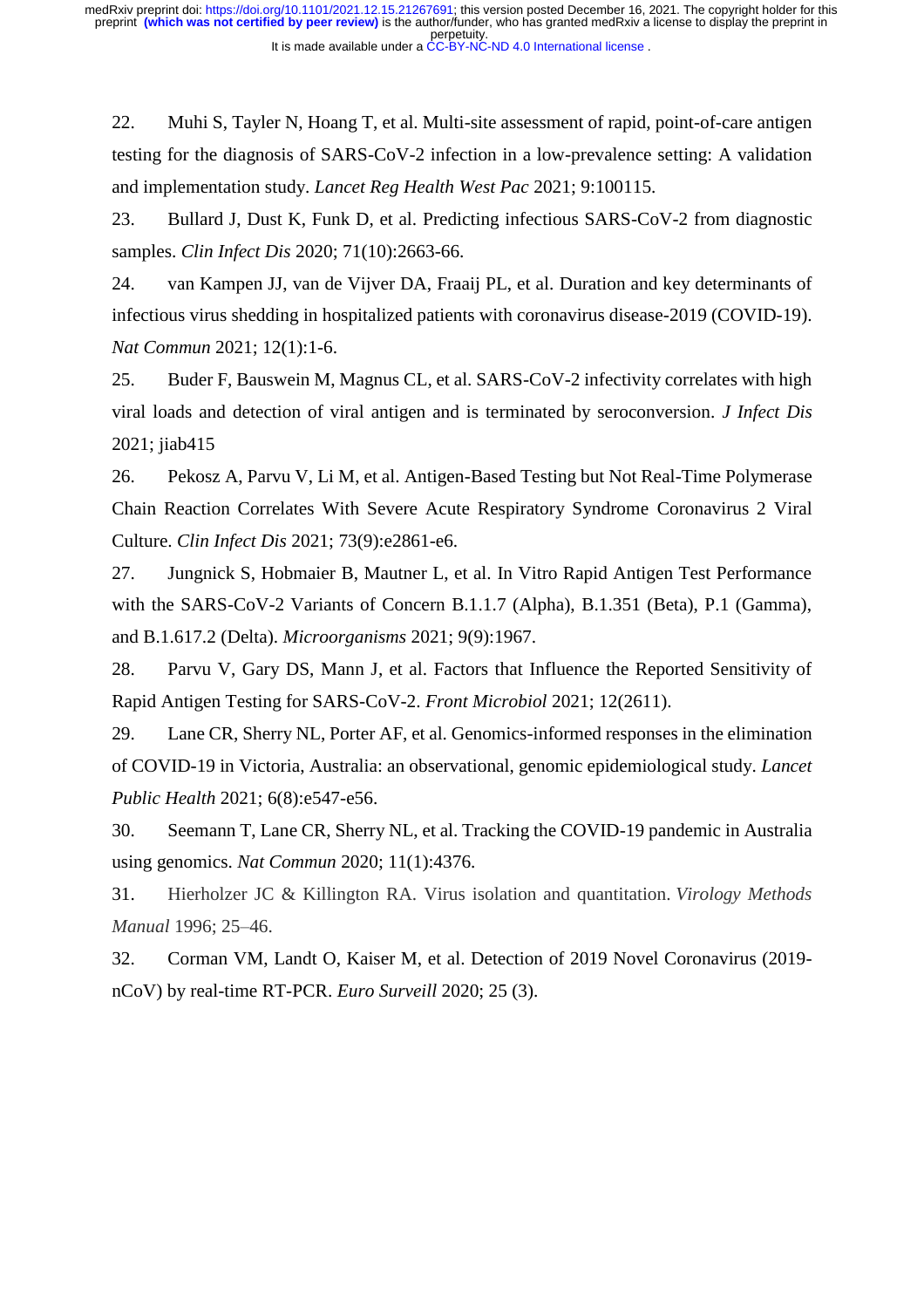22. Muhi S, Tayler N, Hoang T, et al. Multi-site assessment of rapid, point-of-care antigen testing for the diagnosis of SARS-CoV-2 infection in a low-prevalence setting: A validation and implementation study. *Lancet Reg Health West Pac* 2021; 9:100115.

23. Bullard J, Dust K, Funk D, et al. Predicting infectious SARS-CoV-2 from diagnostic samples. *Clin Infect Dis* 2020; 71(10):2663-66.

24. van Kampen JJ, van de Vijver DA, Fraaij PL, et al. Duration and key determinants of infectious virus shedding in hospitalized patients with coronavirus disease-2019 (COVID-19). *Nat Commun* 2021; 12(1):1-6.

25. Buder F, Bauswein M, Magnus CL, et al. SARS-CoV-2 infectivity correlates with high viral loads and detection of viral antigen and is terminated by seroconversion. *J Infect Dis* 2021; jiab415

26. Pekosz A, Parvu V, Li M, et al. Antigen-Based Testing but Not Real-Time Polymerase Chain Reaction Correlates With Severe Acute Respiratory Syndrome Coronavirus 2 Viral Culture. *Clin Infect Dis* 2021; 73(9):e2861-e6.

27. Jungnick S, Hobmaier B, Mautner L, et al. In Vitro Rapid Antigen Test Performance with the SARS-CoV-2 Variants of Concern B.1.1.7 (Alpha), B.1.351 (Beta), P.1 (Gamma), and B.1.617.2 (Delta). *Microorganisms* 2021; 9(9):1967.

28. Parvu V, Gary DS, Mann J, et al. Factors that Influence the Reported Sensitivity of Rapid Antigen Testing for SARS-CoV-2. *Front Microbiol* 2021; 12(2611).

29. Lane CR, Sherry NL, Porter AF, et al. Genomics-informed responses in the elimination of COVID-19 in Victoria, Australia: an observational, genomic epidemiological study. *Lancet Public Health* 2021; 6(8):e547-e56.

30. Seemann T, Lane CR, Sherry NL, et al. Tracking the COVID-19 pandemic in Australia using genomics. *Nat Commun* 2020; 11(1):4376.

31. Hierholzer JC & Killington RA. Virus isolation and quantitation. *Virology Methods Manual* 1996; 25–46.

32. Corman VM, Landt O, Kaiser M, et al. Detection of 2019 Novel Coronavirus (2019 nCoV) by real-time RT-PCR. *Euro Surveill* 2020; 25 (3).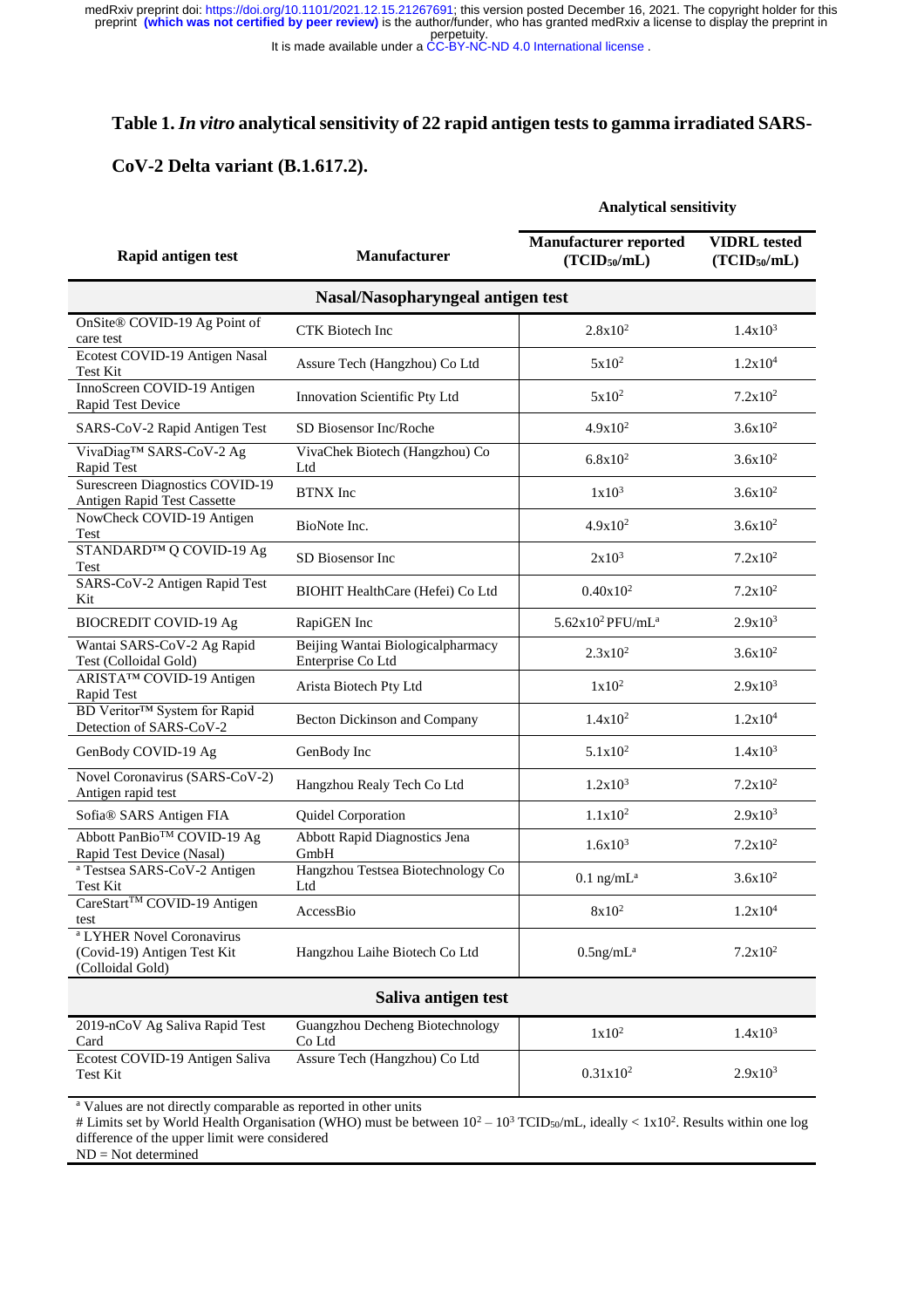perpetuity. medRxiv preprint doi: [https://doi.org/10.1101/2021.12.15.21267691;](https://doi.org/10.1101/2021.12.15.21267691) this version posted December 16, 2021. The copyright holder for this<br>preprint **(which was not certified by peer review)** is the author/funder, who has gran

It is made available under a [CC-BY-NC-ND 4.0 International license](http://creativecommons.org/licenses/by-nc-nd/4.0/) .

## **Table 1.** *In vitro* **analytical sensitivity of 22 rapid antigen tests to gamma irradiated SARS-**

## **CoV-2 Delta variant (B.1.617.2).**

#### **Analytical sensitivity**

| Rapid antigen test                                                                      | <b>Manufacturer</b>                                    | <b>Manufacturer reported</b><br>(TCID <sub>50</sub> /mL) | <b>VIDRL</b> tested<br>(TCID <sub>50</sub> /mL) |
|-----------------------------------------------------------------------------------------|--------------------------------------------------------|----------------------------------------------------------|-------------------------------------------------|
| Nasal/Nasopharyngeal antigen test                                                       |                                                        |                                                          |                                                 |
| OnSite® COVID-19 Ag Point of<br>care test                                               | <b>CTK</b> Biotech Inc                                 | $2.8x10^2$                                               | $1.4x10^3$                                      |
| Ecotest COVID-19 Antigen Nasal<br>Test Kit                                              | Assure Tech (Hangzhou) Co Ltd                          | $5x10^2$                                                 | 1.2x10 <sup>4</sup>                             |
| InnoScreen COVID-19 Antigen<br>Rapid Test Device                                        | Innovation Scientific Pty Ltd                          | $5x10^2$                                                 | $7.2x10^2$                                      |
| SARS-CoV-2 Rapid Antigen Test                                                           | SD Biosensor Inc/Roche                                 | $4.9x10^2$                                               | $3.6x10^2$                                      |
| VivaDiag™ SARS-CoV-2 Ag<br>Rapid Test                                                   | VivaChek Biotech (Hangzhou) Co<br>Ltd                  | $6.8x10^2$                                               | $3.6x10^2$                                      |
| <b>Surescreen Diagnostics COVID-19</b><br>Antigen Rapid Test Cassette                   | <b>BTNX</b> Inc                                        | $1x10^3$                                                 | $3.6x10^2$                                      |
| NowCheck COVID-19 Antigen<br>Test                                                       | BioNote Inc.                                           | $4.9x10^2$                                               | $3.6x10^2$                                      |
| STANDARD™ Q COVID-19 Ag<br>Test                                                         | SD Biosensor Inc.                                      | $2x10^3$                                                 | $7.2 \times 10^2$                               |
| SARS-CoV-2 Antigen Rapid Test<br>Kit                                                    | BIOHIT HealthCare (Hefei) Co Ltd                       | $0.40x10^2$                                              | $7.2x10^2$                                      |
| <b>BIOCREDIT COVID-19 Ag</b>                                                            | RapiGEN Inc                                            | $5.62x10^2$ PFU/mL <sup>a</sup>                          | $2.9x10^3$                                      |
| Wantai SARS-CoV-2 Ag Rapid<br>Test (Colloidal Gold)                                     | Beijing Wantai Biologicalpharmacy<br>Enterprise Co Ltd | $2.3x10^2$                                               | $3.6x10^2$                                      |
| ARISTA™ COVID-19 Antigen<br>Rapid Test                                                  | Arista Biotech Pty Ltd                                 | $1x10^2$                                                 | $2.9x10^3$                                      |
| <b>BD</b> Veritor™ System for Rapid<br>Detection of SARS-CoV-2                          | Becton Dickinson and Company                           | $1.4x10^2$                                               | 1.2x10 <sup>4</sup>                             |
| GenBody COVID-19 Ag                                                                     | GenBody Inc                                            | $5.1x10^2$                                               | $1.4x10^3$                                      |
| Novel Coronavirus (SARS-CoV-2)<br>Antigen rapid test                                    | Hangzhou Realy Tech Co Ltd                             | $1.2x10^3$                                               | $7.2x10^2$                                      |
| Sofia® SARS Antigen FIA                                                                 | Quidel Corporation                                     | $1.1x10^2$                                               | $2.9x10^3$                                      |
| Abbott PanBio <sup>™</sup> COVID-19 Ag<br>Rapid Test Device (Nasal)                     | <b>Abbott Rapid Diagnostics Jena</b><br>GmbH           | $1.6x10^{3}$                                             | $7.2 \times 10^2$                               |
| <sup>a</sup> Testsea SARS-CoV-2 Antigen<br><b>Test Kit</b>                              | Hangzhou Testsea Biotechnology Co<br>Ltd               | $0.1$ ng/mL <sup>a</sup>                                 | $3.6x10^2$                                      |
| CareStart <sup>™</sup> COVID-19 Antigen<br>test                                         | AccessBio                                              | $8x10^2$                                                 | 1.2x10 <sup>4</sup>                             |
| <sup>a</sup> LYHER Novel Coronavirus<br>(Covid-19) Antigen Test Kit<br>(Colloidal Gold) | Hangzhou Laihe Biotech Co Ltd                          | $0.5$ ng/m $L^a$                                         | $7.2x10^2$                                      |
| Saliva antigen test                                                                     |                                                        |                                                          |                                                 |
| 2019-nCoV Ag Saliva Rapid Test<br>Card                                                  | Guangzhou Decheng Biotechnology<br>Co Ltd              | $1x10^2$                                                 | $1.4x10^{3}$                                    |
| Ecotest COVID-19 Antigen Saliva<br>Test Kit                                             | Assure Tech (Hangzhou) Co Ltd                          | $0.31x10^2$                                              | $2.9x10^3$                                      |

<sup>a</sup> Values are not directly comparable as reported in other units

# Limits set by World Health Organisation (WHO) must be between  $10^2 - 10^3$  TCID<sub>50</sub>/mL, ideally <  $1x10^2$ . Results within one log difference of the upper limit were considered

ND = Not determined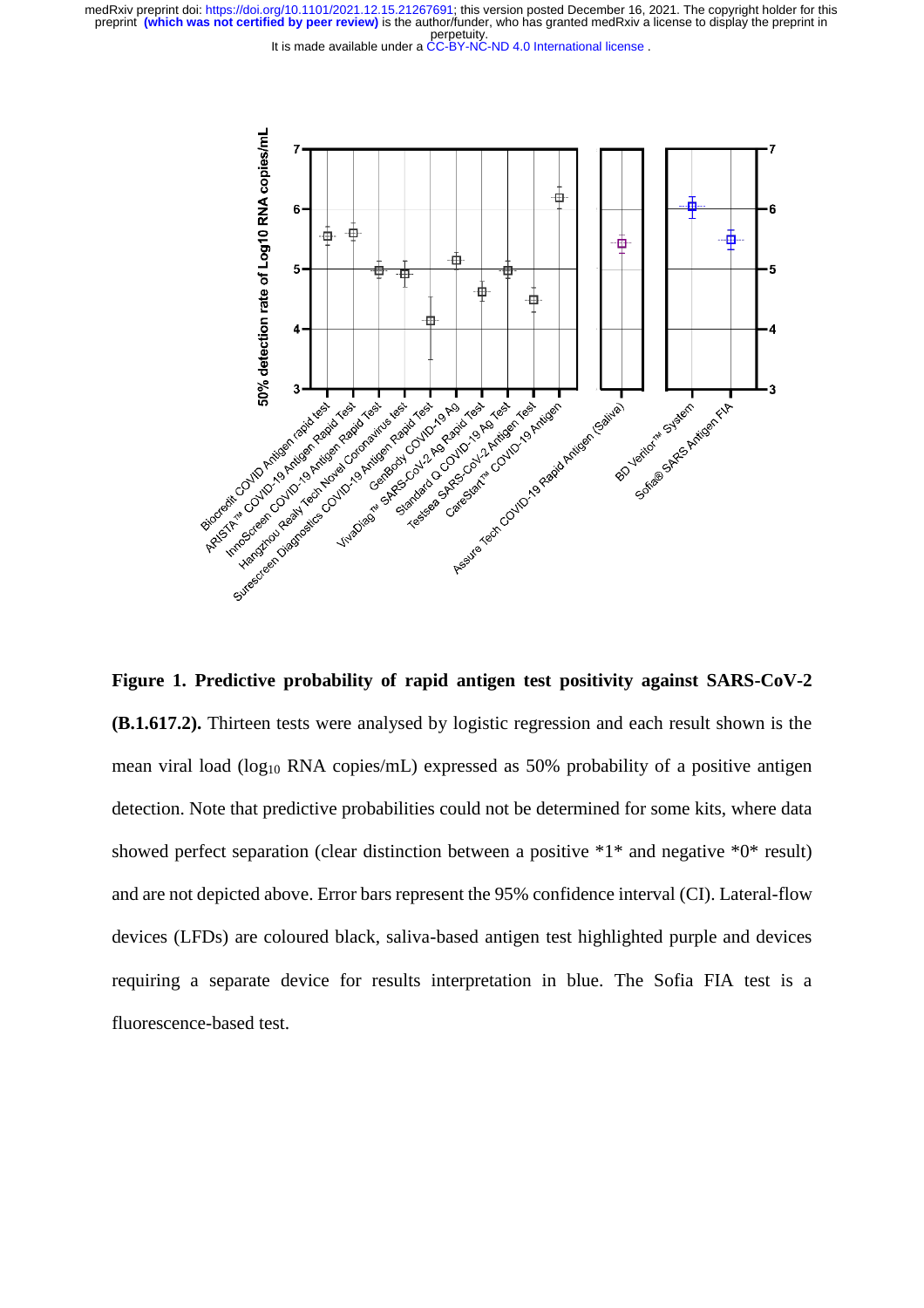perpetuity. preprint **(which was not certified by peer review)** is the author/funder, who has granted medRxiv a license to display the preprint in medRxiv preprint doi: [https://doi.org/10.1101/2021.12.15.21267691;](https://doi.org/10.1101/2021.12.15.21267691) this version posted December 16, 2021. The copyright holder for this

It is made available under a [CC-BY-NC-ND 4.0 International license](http://creativecommons.org/licenses/by-nc-nd/4.0/) .



**Figure 1. Predictive probability of rapid antigen test positivity against SARS-CoV-2 (B.1.617.2).** Thirteen tests were analysed by logistic regression and each result shown is the mean viral load (log<sup>10</sup> RNA copies/mL) expressed as 50% probability of a positive antigen detection. Note that predictive probabilities could not be determined for some kits, where data showed perfect separation (clear distinction between a positive \*1\* and negative \*0\* result) and are not depicted above. Error bars represent the 95% confidence interval (CI). Lateral-flow devices (LFDs) are coloured black, saliva-based antigen test highlighted purple and devices requiring a separate device for results interpretation in blue. The Sofia FIA test is a fluorescence-based test.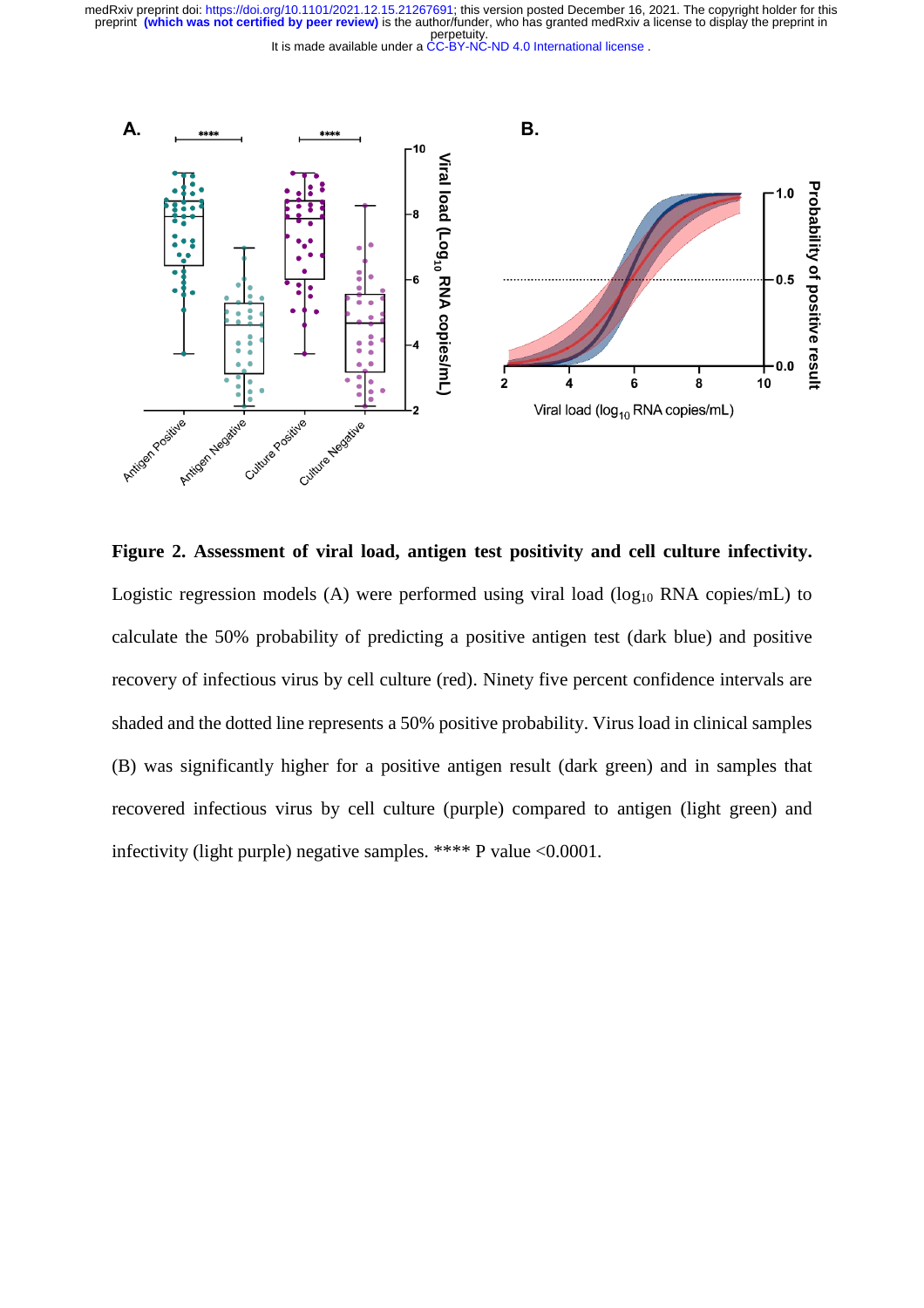perpetuity. medRxiv preprint doi: [https://doi.org/10.1101/2021.12.15.21267691;](https://doi.org/10.1101/2021.12.15.21267691) this version posted December 16, 2021. The copyright holder for this<br>preprint **(which was not certified by peer review)** is the author/funder, who has gran





**Figure 2. Assessment of viral load, antigen test positivity and cell culture infectivity.** Logistic regression models (A) were performed using viral load ( $log_{10}$  RNA copies/mL) to calculate the 50% probability of predicting a positive antigen test (dark blue) and positive recovery of infectious virus by cell culture (red). Ninety five percent confidence intervals are shaded and the dotted line represents a 50% positive probability. Virus load in clinical samples (B) was significantly higher for a positive antigen result (dark green) and in samples that recovered infectious virus by cell culture (purple) compared to antigen (light green) and